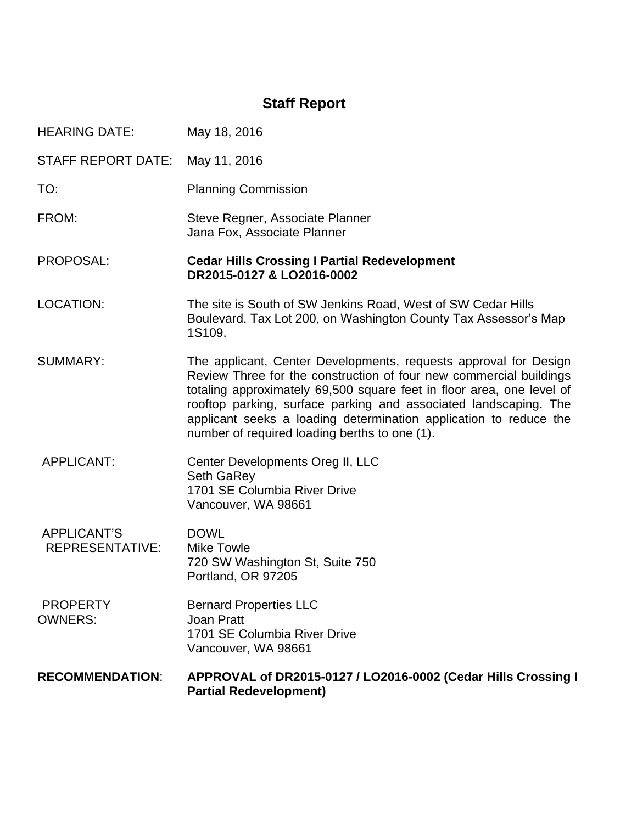# **Staff Report**

| <b>HEARING DATE:</b>                  | May 18, 2016                                                                                                                                                                                                                                                                                                                                                                                              |
|---------------------------------------|-----------------------------------------------------------------------------------------------------------------------------------------------------------------------------------------------------------------------------------------------------------------------------------------------------------------------------------------------------------------------------------------------------------|
| <b>STAFF REPORT DATE:</b>             | May 11, 2016                                                                                                                                                                                                                                                                                                                                                                                              |
| TO:                                   | <b>Planning Commission</b>                                                                                                                                                                                                                                                                                                                                                                                |
| FROM:                                 | Steve Regner, Associate Planner<br>Jana Fox, Associate Planner                                                                                                                                                                                                                                                                                                                                            |
| PROPOSAL:                             | <b>Cedar Hills Crossing I Partial Redevelopment</b><br>DR2015-0127 & LO2016-0002                                                                                                                                                                                                                                                                                                                          |
| LOCATION:                             | The site is South of SW Jenkins Road, West of SW Cedar Hills<br>Boulevard. Tax Lot 200, on Washington County Tax Assessor's Map<br>1S109.                                                                                                                                                                                                                                                                 |
| <b>SUMMARY:</b>                       | The applicant, Center Developments, requests approval for Design<br>Review Three for the construction of four new commercial buildings<br>totaling approximately 69,500 square feet in floor area, one level of<br>rooftop parking, surface parking and associated landscaping. The<br>applicant seeks a loading determination application to reduce the<br>number of required loading berths to one (1). |
| <b>APPLICANT:</b>                     | Center Developments Oreg II, LLC<br><b>Seth GaRey</b><br>1701 SE Columbia River Drive<br>Vancouver, WA 98661                                                                                                                                                                                                                                                                                              |
| <b>APPLICANT'S</b><br>REPRESENTATIVE: | <b>DOWL</b><br><b>Mike Towle</b><br>720 SW Washington St, Suite 750<br>Portland, OR 97205                                                                                                                                                                                                                                                                                                                 |
| <b>PROPERTY</b><br><b>OWNERS:</b>     | <b>Bernard Properties LLC</b><br><b>Joan Pratt</b><br>1701 SE Columbia River Drive<br>Vancouver, WA 98661                                                                                                                                                                                                                                                                                                 |
| <b>RECOMMENDATION:</b>                | APPROVAL of DR2015-0127 / LO2016-0002 (Cedar Hills Crossing I<br><b>Partial Redevelopment)</b>                                                                                                                                                                                                                                                                                                            |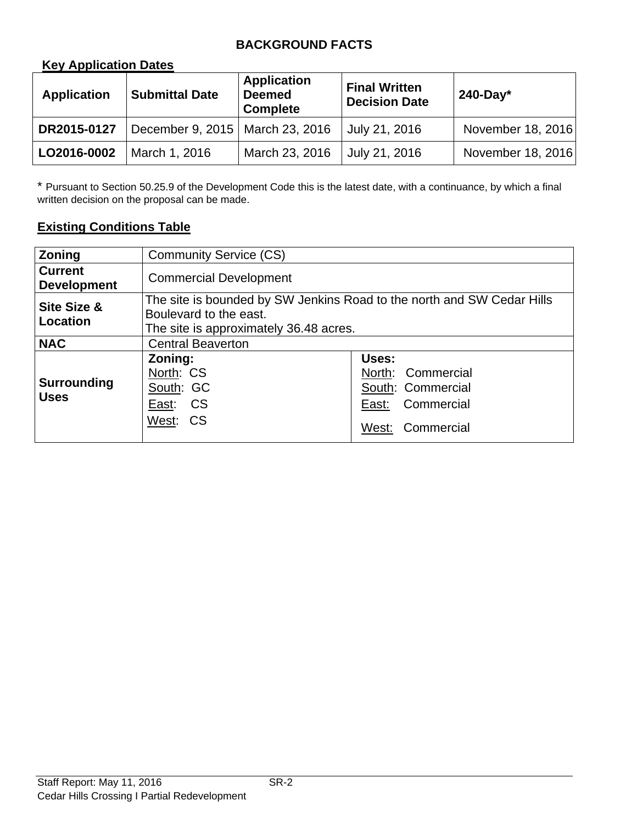## **BACKGROUND FACTS**

#### **Key Application Dates**

| <b>Application</b> | <b>Submittal Date</b>             | <b>Application</b><br><b>Deemed</b><br><b>Complete</b> | <b>Final Written</b><br><b>Decision Date</b> | $240$ -Day*       |
|--------------------|-----------------------------------|--------------------------------------------------------|----------------------------------------------|-------------------|
| DR2015-0127        | December 9, 2015   March 23, 2016 |                                                        | July 21, 2016                                | November 18, 2016 |
| LO2016-0002        | March 1, 2016                     | March 23, 2016                                         | July 21, 2016                                | November 18, 2016 |

\* Pursuant to Section 50.25.9 of the Development Code this is the latest date, with a continuance, by which a final written decision on the proposal can be made.

#### **Existing Conditions Table**

| <b>Zoning</b>                        | <b>Community Service (CS)</b>                                                                                                              |                                                                                         |  |
|--------------------------------------|--------------------------------------------------------------------------------------------------------------------------------------------|-----------------------------------------------------------------------------------------|--|
| <b>Current</b><br><b>Development</b> | <b>Commercial Development</b>                                                                                                              |                                                                                         |  |
| Site Size &<br>Location              | The site is bounded by SW Jenkins Road to the north and SW Cedar Hills<br>Boulevard to the east.<br>The site is approximately 36.48 acres. |                                                                                         |  |
| <b>NAC</b>                           | <b>Central Beaverton</b>                                                                                                                   |                                                                                         |  |
| Surrounding<br><b>Uses</b>           | Zoning:<br>North: CS<br>South: GC<br><b>CS</b><br>East:<br>West: CS                                                                        | Uses:<br>North: Commercial<br>South: Commercial<br>East: Commercial<br>West: Commercial |  |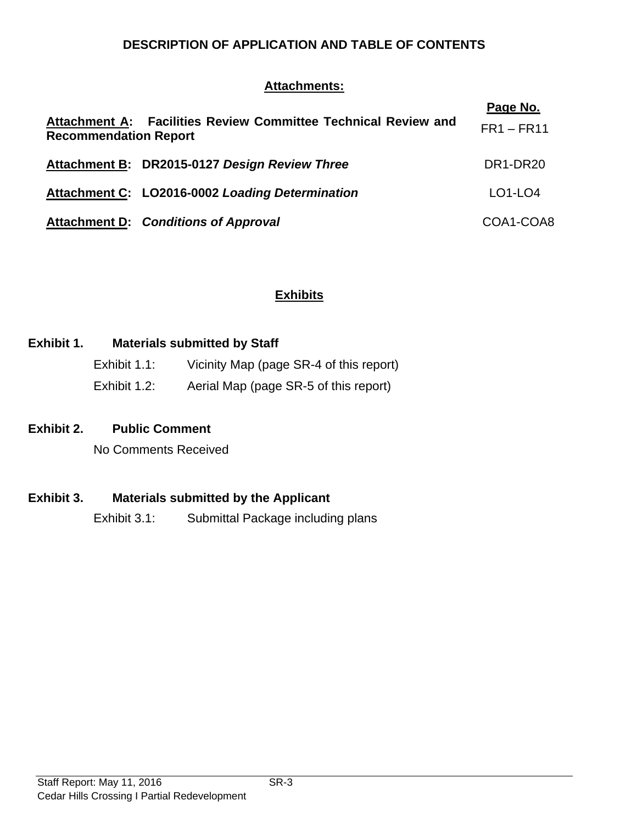#### **DESCRIPTION OF APPLICATION AND TABLE OF CONTENTS**

#### **Attachments:**

| Attachment A: Facilities Review Committee Technical Review and<br><b>Recommendation Report</b> | Page No.<br>$FR1 - FR11$ |
|------------------------------------------------------------------------------------------------|--------------------------|
| Attachment B: DR2015-0127 Design Review Three                                                  | DR1-DR20                 |
| Attachment C: LO2016-0002 Loading Determination                                                | $LO1$ -LO4               |
| <b>Attachment D: Conditions of Approval</b>                                                    | COA1-COA8                |

#### **Exhibits**

## **Exhibit 1. Materials submitted by Staff**

| Exhibit 1.1: | Vicinity Map (page SR-4 of this report) |
|--------------|-----------------------------------------|
| Exhibit 1.2: | Aerial Map (page SR-5 of this report)   |

#### **Exhibit 2. Public Comment**

No Comments Received

## **Exhibit 3. Materials submitted by the Applicant**

Exhibit 3.1: Submittal Package including plans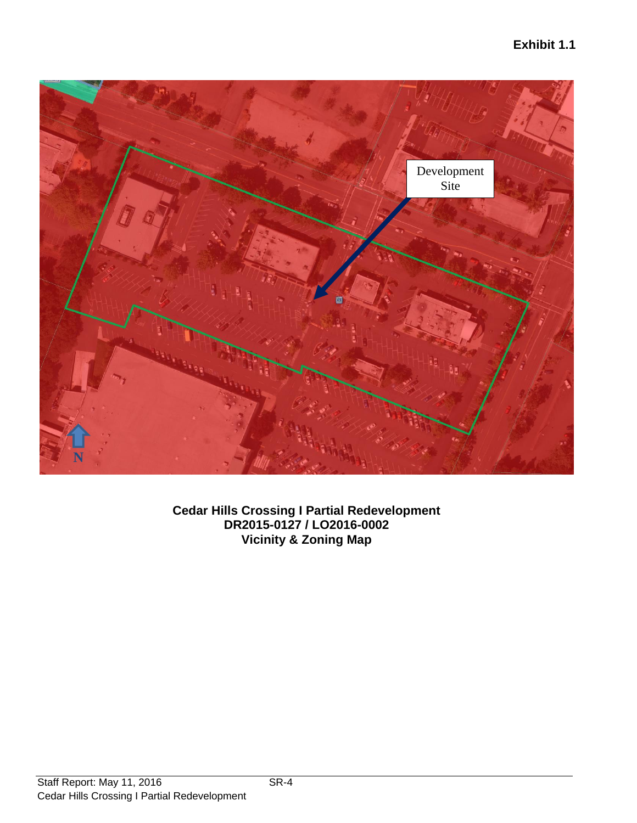

**Cedar Hills Crossing I Partial Redevelopment DR2015-0127 / LO2016-0002 Vicinity & Zoning Map**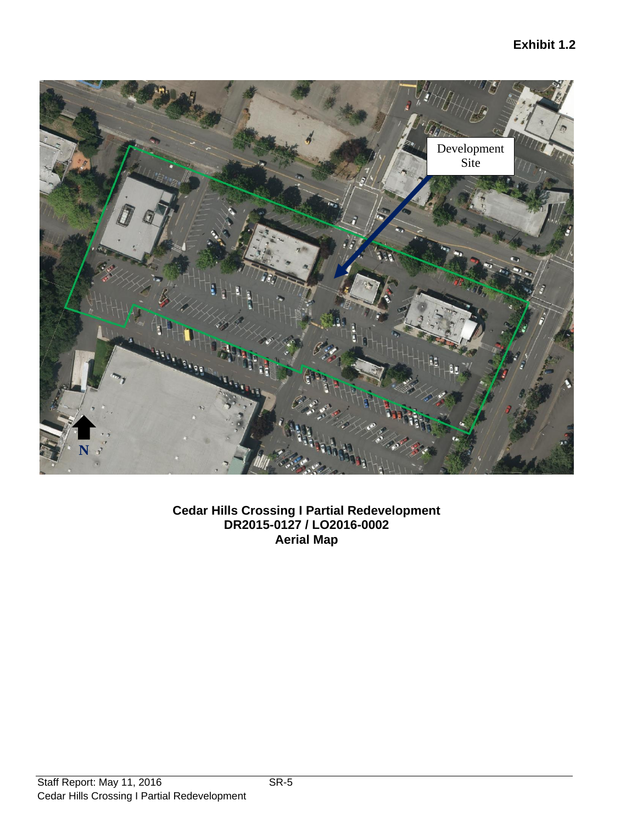

**Cedar Hills Crossing I Partial Redevelopment DR2015-0127 / LO2016-0002 Aerial Map**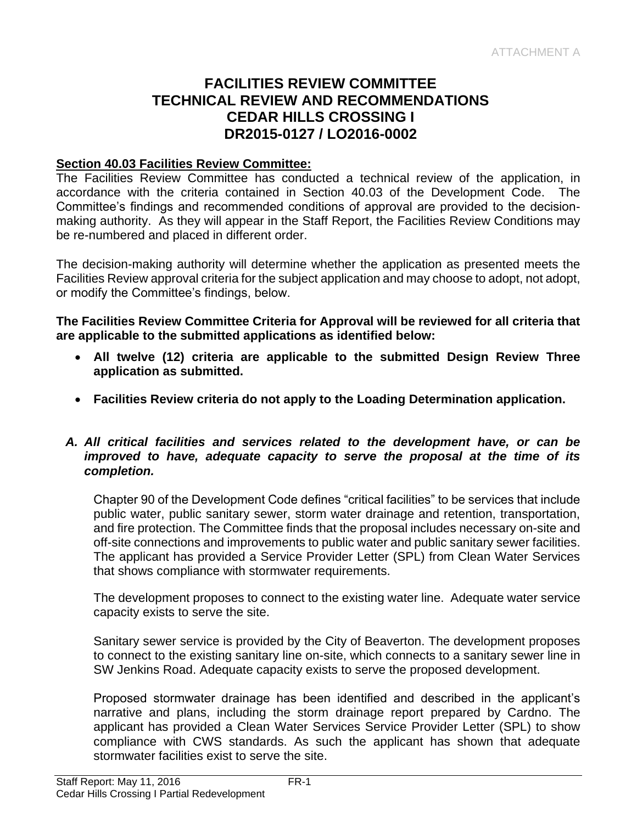## **FACILITIES REVIEW COMMITTEE TECHNICAL REVIEW AND RECOMMENDATIONS CEDAR HILLS CROSSING I DR2015-0127 / LO2016-0002**

#### **Section 40.03 Facilities Review Committee:**

The Facilities Review Committee has conducted a technical review of the application, in accordance with the criteria contained in Section 40.03 of the Development Code. The Committee's findings and recommended conditions of approval are provided to the decisionmaking authority. As they will appear in the Staff Report, the Facilities Review Conditions may be re-numbered and placed in different order.

The decision-making authority will determine whether the application as presented meets the Facilities Review approval criteria for the subject application and may choose to adopt, not adopt, or modify the Committee's findings, below.

**The Facilities Review Committee Criteria for Approval will be reviewed for all criteria that are applicable to the submitted applications as identified below:**

- **All twelve (12) criteria are applicable to the submitted Design Review Three application as submitted.**
- **Facilities Review criteria do not apply to the Loading Determination application.**

#### *A. All critical facilities and services related to the development have, or can be improved to have, adequate capacity to serve the proposal at the time of its completion.*

Chapter 90 of the Development Code defines "critical facilities" to be services that include public water, public sanitary sewer, storm water drainage and retention, transportation, and fire protection. The Committee finds that the proposal includes necessary on-site and off-site connections and improvements to public water and public sanitary sewer facilities. The applicant has provided a Service Provider Letter (SPL) from Clean Water Services that shows compliance with stormwater requirements.

The development proposes to connect to the existing water line. Adequate water service capacity exists to serve the site.

Sanitary sewer service is provided by the City of Beaverton. The development proposes to connect to the existing sanitary line on-site, which connects to a sanitary sewer line in SW Jenkins Road. Adequate capacity exists to serve the proposed development.

Proposed stormwater drainage has been identified and described in the applicant's narrative and plans, including the storm drainage report prepared by Cardno. The applicant has provided a Clean Water Services Service Provider Letter (SPL) to show compliance with CWS standards. As such the applicant has shown that adequate stormwater facilities exist to serve the site.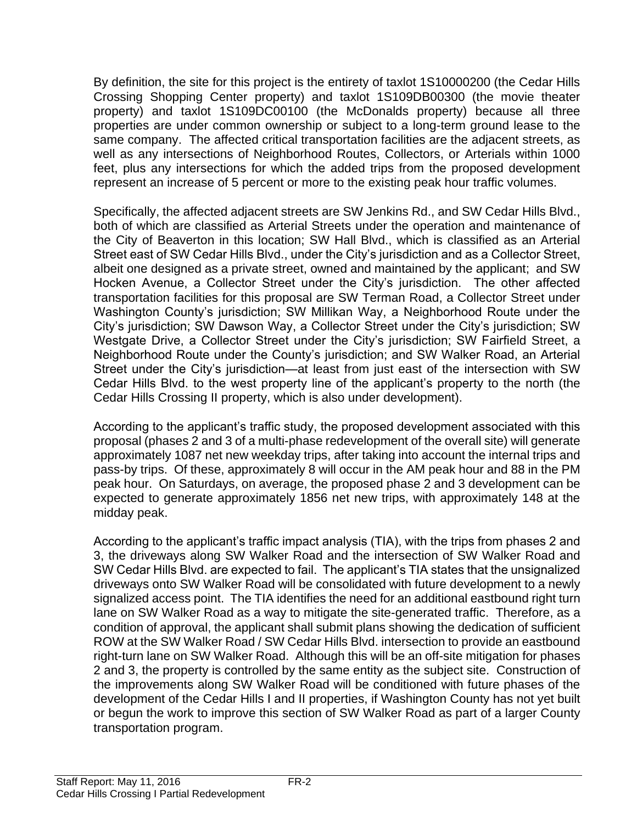By definition, the site for this project is the entirety of taxlot 1S10000200 (the Cedar Hills Crossing Shopping Center property) and taxlot 1S109DB00300 (the movie theater property) and taxlot 1S109DC00100 (the McDonalds property) because all three properties are under common ownership or subject to a long-term ground lease to the same company. The affected critical transportation facilities are the adjacent streets, as well as any intersections of Neighborhood Routes, Collectors, or Arterials within 1000 feet, plus any intersections for which the added trips from the proposed development represent an increase of 5 percent or more to the existing peak hour traffic volumes.

Specifically, the affected adjacent streets are SW Jenkins Rd., and SW Cedar Hills Blvd., both of which are classified as Arterial Streets under the operation and maintenance of the City of Beaverton in this location; SW Hall Blvd., which is classified as an Arterial Street east of SW Cedar Hills Blvd., under the City's jurisdiction and as a Collector Street, albeit one designed as a private street, owned and maintained by the applicant; and SW Hocken Avenue, a Collector Street under the City's jurisdiction. The other affected transportation facilities for this proposal are SW Terman Road, a Collector Street under Washington County's jurisdiction; SW Millikan Way, a Neighborhood Route under the City's jurisdiction; SW Dawson Way, a Collector Street under the City's jurisdiction; SW Westgate Drive, a Collector Street under the City's jurisdiction; SW Fairfield Street, a Neighborhood Route under the County's jurisdiction; and SW Walker Road, an Arterial Street under the City's jurisdiction—at least from just east of the intersection with SW Cedar Hills Blvd. to the west property line of the applicant's property to the north (the Cedar Hills Crossing II property, which is also under development).

According to the applicant's traffic study, the proposed development associated with this proposal (phases 2 and 3 of a multi-phase redevelopment of the overall site) will generate approximately 1087 net new weekday trips, after taking into account the internal trips and pass-by trips. Of these, approximately 8 will occur in the AM peak hour and 88 in the PM peak hour. On Saturdays, on average, the proposed phase 2 and 3 development can be expected to generate approximately 1856 net new trips, with approximately 148 at the midday peak.

According to the applicant's traffic impact analysis (TIA), with the trips from phases 2 and 3, the driveways along SW Walker Road and the intersection of SW Walker Road and SW Cedar Hills Blvd. are expected to fail. The applicant's TIA states that the unsignalized driveways onto SW Walker Road will be consolidated with future development to a newly signalized access point. The TIA identifies the need for an additional eastbound right turn lane on SW Walker Road as a way to mitigate the site-generated traffic. Therefore, as a condition of approval, the applicant shall submit plans showing the dedication of sufficient ROW at the SW Walker Road / SW Cedar Hills Blvd. intersection to provide an eastbound right-turn lane on SW Walker Road. Although this will be an off-site mitigation for phases 2 and 3, the property is controlled by the same entity as the subject site. Construction of the improvements along SW Walker Road will be conditioned with future phases of the development of the Cedar Hills I and II properties, if Washington County has not yet built or begun the work to improve this section of SW Walker Road as part of a larger County transportation program.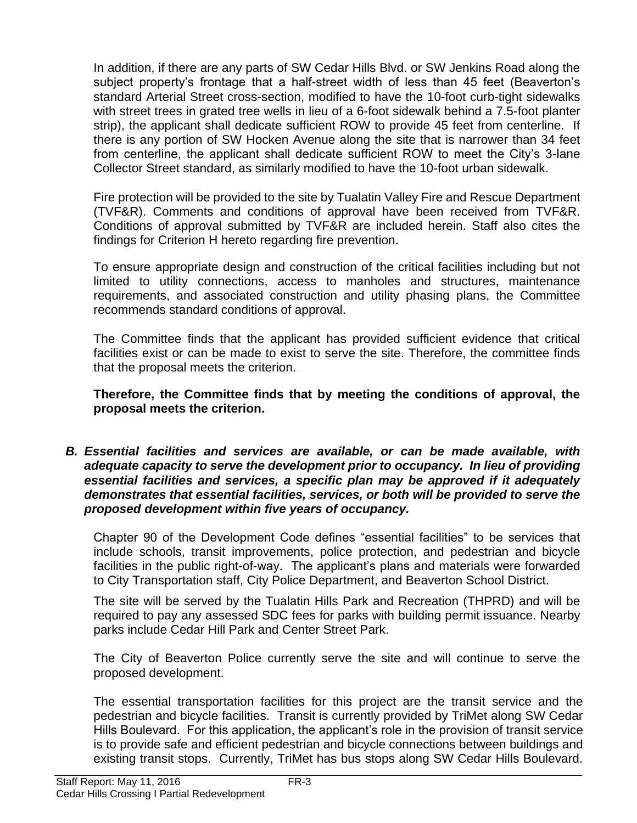In addition, if there are any parts of SW Cedar Hills Blvd. or SW Jenkins Road along the subject property's frontage that a half-street width of less than 45 feet (Beaverton's standard Arterial Street cross-section, modified to have the 10-foot curb-tight sidewalks with street trees in grated tree wells in lieu of a 6-foot sidewalk behind a 7.5-foot planter strip), the applicant shall dedicate sufficient ROW to provide 45 feet from centerline. If there is any portion of SW Hocken Avenue along the site that is narrower than 34 feet from centerline, the applicant shall dedicate sufficient ROW to meet the City's 3-lane Collector Street standard, as similarly modified to have the 10-foot urban sidewalk.

Fire protection will be provided to the site by Tualatin Valley Fire and Rescue Department (TVF&R). Comments and conditions of approval have been received from TVF&R. Conditions of approval submitted by TVF&R are included herein. Staff also cites the findings for Criterion H hereto regarding fire prevention.

To ensure appropriate design and construction of the critical facilities including but not limited to utility connections, access to manholes and structures, maintenance requirements, and associated construction and utility phasing plans, the Committee recommends standard conditions of approval.

The Committee finds that the applicant has provided sufficient evidence that critical facilities exist or can be made to exist to serve the site. Therefore, the committee finds that the proposal meets the criterion.

**Therefore, the Committee finds that by meeting the conditions of approval, the proposal meets the criterion.** 

*B. Essential facilities and services are available, or can be made available, with*  adequate capacity to serve the development prior to occupancy. In lieu of providing *essential facilities and services, a specific plan may be approved if it adequately demonstrates that essential facilities, services, or both will be provided to serve the proposed development within five years of occupancy.*

Chapter 90 of the Development Code defines "essential facilities" to be services that include schools, transit improvements, police protection, and pedestrian and bicycle facilities in the public right-of-way. The applicant's plans and materials were forwarded to City Transportation staff, City Police Department, and Beaverton School District.

The site will be served by the Tualatin Hills Park and Recreation (THPRD) and will be required to pay any assessed SDC fees for parks with building permit issuance. Nearby parks include Cedar Hill Park and Center Street Park.

The City of Beaverton Police currently serve the site and will continue to serve the proposed development.

The essential transportation facilities for this project are the transit service and the pedestrian and bicycle facilities. Transit is currently provided by TriMet along SW Cedar Hills Boulevard. For this application, the applicant's role in the provision of transit service is to provide safe and efficient pedestrian and bicycle connections between buildings and existing transit stops. Currently, TriMet has bus stops along SW Cedar Hills Boulevard.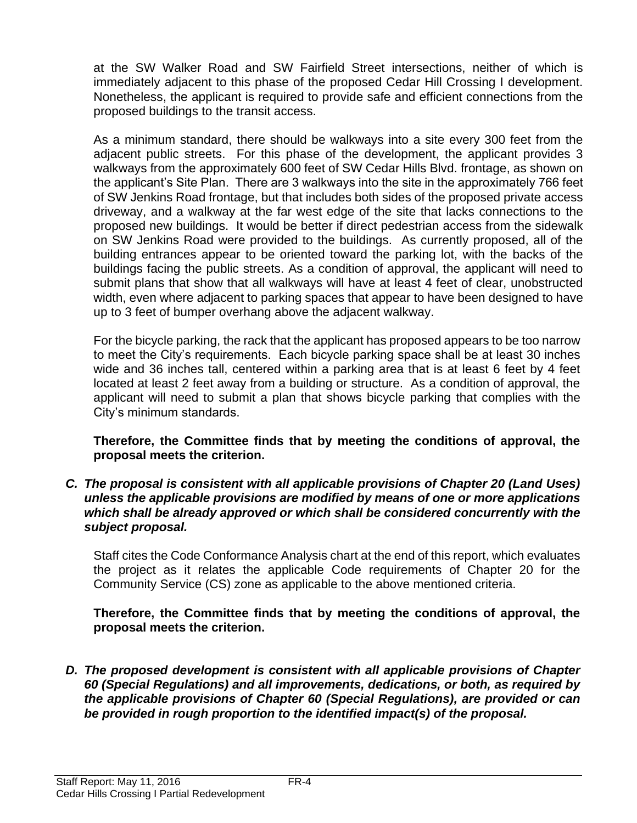at the SW Walker Road and SW Fairfield Street intersections, neither of which is immediately adjacent to this phase of the proposed Cedar Hill Crossing I development. Nonetheless, the applicant is required to provide safe and efficient connections from the proposed buildings to the transit access.

As a minimum standard, there should be walkways into a site every 300 feet from the adjacent public streets. For this phase of the development, the applicant provides 3 walkways from the approximately 600 feet of SW Cedar Hills Blvd. frontage, as shown on the applicant's Site Plan. There are 3 walkways into the site in the approximately 766 feet of SW Jenkins Road frontage, but that includes both sides of the proposed private access driveway, and a walkway at the far west edge of the site that lacks connections to the proposed new buildings. It would be better if direct pedestrian access from the sidewalk on SW Jenkins Road were provided to the buildings. As currently proposed, all of the building entrances appear to be oriented toward the parking lot, with the backs of the buildings facing the public streets. As a condition of approval, the applicant will need to submit plans that show that all walkways will have at least 4 feet of clear, unobstructed width, even where adjacent to parking spaces that appear to have been designed to have up to 3 feet of bumper overhang above the adjacent walkway.

For the bicycle parking, the rack that the applicant has proposed appears to be too narrow to meet the City's requirements. Each bicycle parking space shall be at least 30 inches wide and 36 inches tall, centered within a parking area that is at least 6 feet by 4 feet located at least 2 feet away from a building or structure. As a condition of approval, the applicant will need to submit a plan that shows bicycle parking that complies with the City's minimum standards.

**Therefore, the Committee finds that by meeting the conditions of approval, the proposal meets the criterion.** 

*C. The proposal is consistent with all applicable provisions of Chapter 20 (Land Uses) unless the applicable provisions are modified by means of one or more applications which shall be already approved or which shall be considered concurrently with the subject proposal.* 

Staff cites the Code Conformance Analysis chart at the end of this report, which evaluates the project as it relates the applicable Code requirements of Chapter 20 for the Community Service (CS) zone as applicable to the above mentioned criteria.

**Therefore, the Committee finds that by meeting the conditions of approval, the proposal meets the criterion.** 

*D. The proposed development is consistent with all applicable provisions of Chapter 60 (Special Regulations) and all improvements, dedications, or both, as required by the applicable provisions of Chapter 60 (Special Regulations), are provided or can be provided in rough proportion to the identified impact(s) of the proposal.*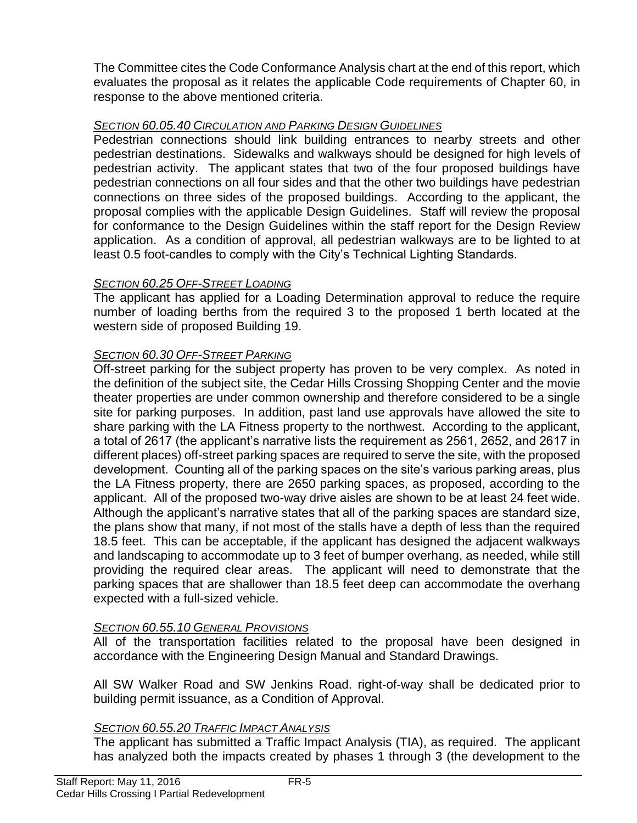The Committee cites the Code Conformance Analysis chart at the end of this report, which evaluates the proposal as it relates the applicable Code requirements of Chapter 60, in response to the above mentioned criteria.

#### *SECTION 60.05.40 CIRCULATION AND PARKING DESIGN GUIDELINES*

Pedestrian connections should link building entrances to nearby streets and other pedestrian destinations. Sidewalks and walkways should be designed for high levels of pedestrian activity. The applicant states that two of the four proposed buildings have pedestrian connections on all four sides and that the other two buildings have pedestrian connections on three sides of the proposed buildings. According to the applicant, the proposal complies with the applicable Design Guidelines. Staff will review the proposal for conformance to the Design Guidelines within the staff report for the Design Review application. As a condition of approval, all pedestrian walkways are to be lighted to at least 0.5 foot-candles to comply with the City's Technical Lighting Standards.

#### *SECTION 60.25 OFF-STREET LOADING*

The applicant has applied for a Loading Determination approval to reduce the require number of loading berths from the required 3 to the proposed 1 berth located at the western side of proposed Building 19.

## *SECTION 60.30 OFF-STREET PARKING*

Off-street parking for the subject property has proven to be very complex. As noted in the definition of the subject site, the Cedar Hills Crossing Shopping Center and the movie theater properties are under common ownership and therefore considered to be a single site for parking purposes. In addition, past land use approvals have allowed the site to share parking with the LA Fitness property to the northwest. According to the applicant, a total of 2617 (the applicant's narrative lists the requirement as 2561, 2652, and 2617 in different places) off-street parking spaces are required to serve the site, with the proposed development. Counting all of the parking spaces on the site's various parking areas, plus the LA Fitness property, there are 2650 parking spaces, as proposed, according to the applicant. All of the proposed two-way drive aisles are shown to be at least 24 feet wide. Although the applicant's narrative states that all of the parking spaces are standard size, the plans show that many, if not most of the stalls have a depth of less than the required 18.5 feet. This can be acceptable, if the applicant has designed the adjacent walkways and landscaping to accommodate up to 3 feet of bumper overhang, as needed, while still providing the required clear areas. The applicant will need to demonstrate that the parking spaces that are shallower than 18.5 feet deep can accommodate the overhang expected with a full-sized vehicle.

## *SECTION 60.55.10 GENERAL PROVISIONS*

All of the transportation facilities related to the proposal have been designed in accordance with the Engineering Design Manual and Standard Drawings.

All SW Walker Road and SW Jenkins Road. right-of-way shall be dedicated prior to building permit issuance, as a Condition of Approval.

## *SECTION 60.55.20 TRAFFIC IMPACT ANALYSIS*

The applicant has submitted a Traffic Impact Analysis (TIA), as required. The applicant has analyzed both the impacts created by phases 1 through 3 (the development to the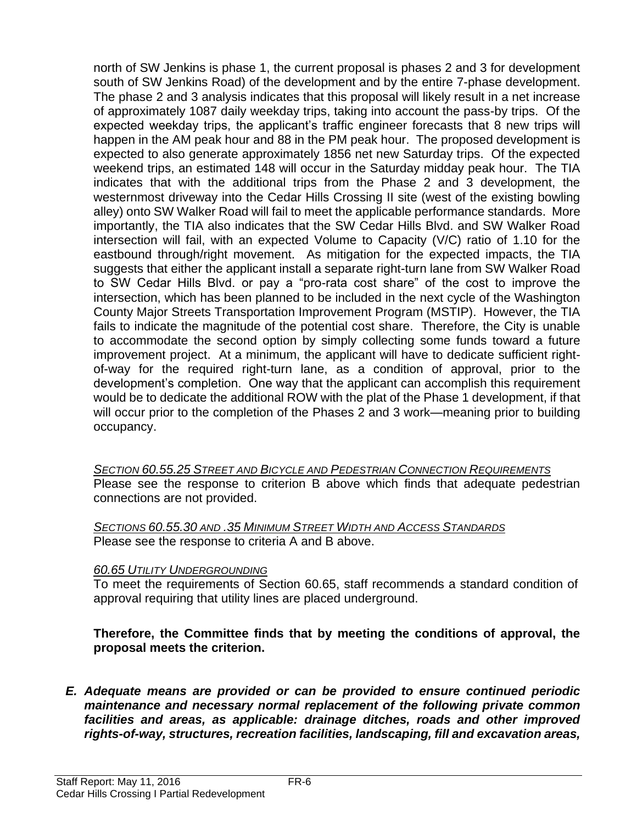north of SW Jenkins is phase 1, the current proposal is phases 2 and 3 for development south of SW Jenkins Road) of the development and by the entire 7-phase development. The phase 2 and 3 analysis indicates that this proposal will likely result in a net increase of approximately 1087 daily weekday trips, taking into account the pass-by trips. Of the expected weekday trips, the applicant's traffic engineer forecasts that 8 new trips will happen in the AM peak hour and 88 in the PM peak hour. The proposed development is expected to also generate approximately 1856 net new Saturday trips. Of the expected weekend trips, an estimated 148 will occur in the Saturday midday peak hour. The TIA indicates that with the additional trips from the Phase 2 and 3 development, the westernmost driveway into the Cedar Hills Crossing II site (west of the existing bowling alley) onto SW Walker Road will fail to meet the applicable performance standards. More importantly, the TIA also indicates that the SW Cedar Hills Blvd. and SW Walker Road intersection will fail, with an expected Volume to Capacity (V/C) ratio of 1.10 for the eastbound through/right movement. As mitigation for the expected impacts, the TIA suggests that either the applicant install a separate right-turn lane from SW Walker Road to SW Cedar Hills Blvd. or pay a "pro-rata cost share" of the cost to improve the intersection, which has been planned to be included in the next cycle of the Washington County Major Streets Transportation Improvement Program (MSTIP). However, the TIA fails to indicate the magnitude of the potential cost share. Therefore, the City is unable to accommodate the second option by simply collecting some funds toward a future improvement project. At a minimum, the applicant will have to dedicate sufficient rightof-way for the required right-turn lane, as a condition of approval, prior to the development's completion. One way that the applicant can accomplish this requirement would be to dedicate the additional ROW with the plat of the Phase 1 development, if that will occur prior to the completion of the Phases 2 and 3 work—meaning prior to building occupancy.

*SECTION 60.55.25 STREET AND BICYCLE AND PEDESTRIAN CONNECTION REQUIREMENTS* Please see the response to criterion B above which finds that adequate pedestrian connections are not provided.

*SECTIONS 60.55.30 AND .35 MINIMUM STREET WIDTH AND ACCESS STANDARDS* Please see the response to criteria A and B above.

#### *60.65 UTILITY UNDERGROUNDING*

To meet the requirements of Section 60.65, staff recommends a standard condition of approval requiring that utility lines are placed underground.

#### **Therefore, the Committee finds that by meeting the conditions of approval, the proposal meets the criterion.**

*E. Adequate means are provided or can be provided to ensure continued periodic maintenance and necessary normal replacement of the following private common facilities and areas, as applicable: drainage ditches, roads and other improved rights-of-way, structures, recreation facilities, landscaping, fill and excavation areas,*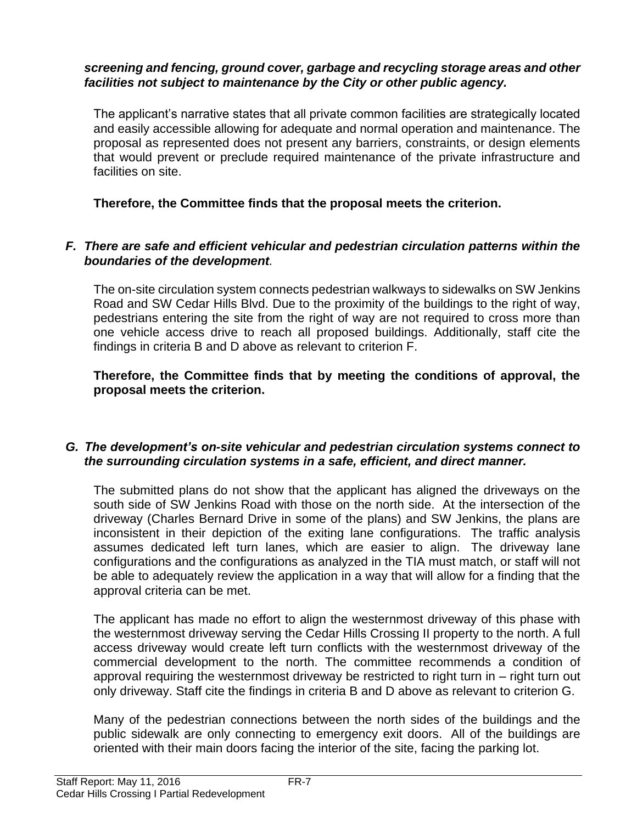#### *screening and fencing, ground cover, garbage and recycling storage areas and other facilities not subject to maintenance by the City or other public agency.*

The applicant's narrative states that all private common facilities are strategically located and easily accessible allowing for adequate and normal operation and maintenance. The proposal as represented does not present any barriers, constraints, or design elements that would prevent or preclude required maintenance of the private infrastructure and facilities on site.

**Therefore, the Committee finds that the proposal meets the criterion.** 

#### *F. There are safe and efficient vehicular and pedestrian circulation patterns within the boundaries of the development.*

The on-site circulation system connects pedestrian walkways to sidewalks on SW Jenkins Road and SW Cedar Hills Blvd. Due to the proximity of the buildings to the right of way, pedestrians entering the site from the right of way are not required to cross more than one vehicle access drive to reach all proposed buildings. Additionally, staff cite the findings in criteria B and D above as relevant to criterion F.

**Therefore, the Committee finds that by meeting the conditions of approval, the proposal meets the criterion.** 

#### *G. The development's on-site vehicular and pedestrian circulation systems connect to the surrounding circulation systems in a safe, efficient, and direct manner.*

The submitted plans do not show that the applicant has aligned the driveways on the south side of SW Jenkins Road with those on the north side. At the intersection of the driveway (Charles Bernard Drive in some of the plans) and SW Jenkins, the plans are inconsistent in their depiction of the exiting lane configurations. The traffic analysis assumes dedicated left turn lanes, which are easier to align. The driveway lane configurations and the configurations as analyzed in the TIA must match, or staff will not be able to adequately review the application in a way that will allow for a finding that the approval criteria can be met.

The applicant has made no effort to align the westernmost driveway of this phase with the westernmost driveway serving the Cedar Hills Crossing II property to the north. A full access driveway would create left turn conflicts with the westernmost driveway of the commercial development to the north. The committee recommends a condition of approval requiring the westernmost driveway be restricted to right turn in – right turn out only driveway. Staff cite the findings in criteria B and D above as relevant to criterion G.

Many of the pedestrian connections between the north sides of the buildings and the public sidewalk are only connecting to emergency exit doors. All of the buildings are oriented with their main doors facing the interior of the site, facing the parking lot.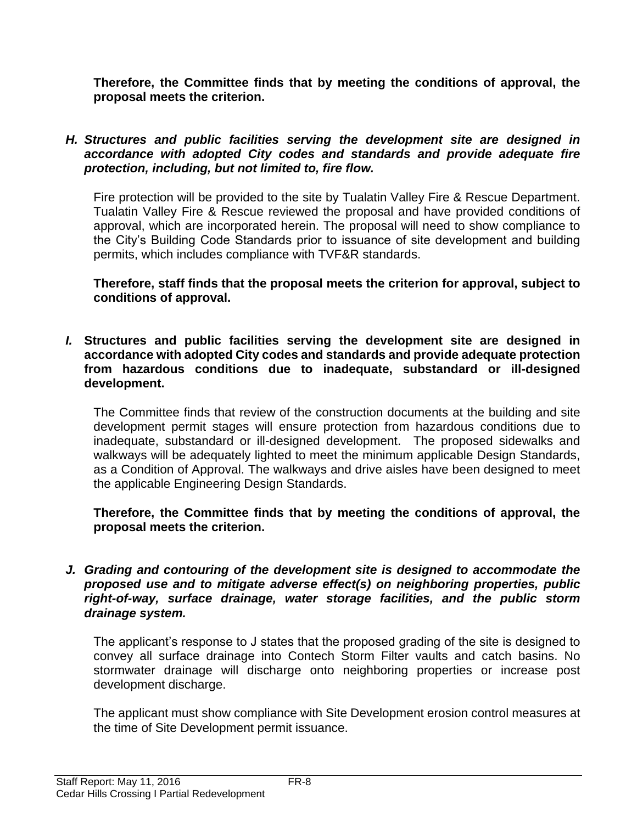**Therefore, the Committee finds that by meeting the conditions of approval, the proposal meets the criterion.** 

#### *H. Structures and public facilities serving the development site are designed in accordance with adopted City codes and standards and provide adequate fire protection, including, but not limited to, fire flow.*

Fire protection will be provided to the site by Tualatin Valley Fire & Rescue Department. Tualatin Valley Fire & Rescue reviewed the proposal and have provided conditions of approval, which are incorporated herein. The proposal will need to show compliance to the City's Building Code Standards prior to issuance of site development and building permits, which includes compliance with TVF&R standards.

**Therefore, staff finds that the proposal meets the criterion for approval, subject to conditions of approval.**

*I.* **Structures and public facilities serving the development site are designed in accordance with adopted City codes and standards and provide adequate protection from hazardous conditions due to inadequate, substandard or ill-designed development.**

The Committee finds that review of the construction documents at the building and site development permit stages will ensure protection from hazardous conditions due to inadequate, substandard or ill-designed development. The proposed sidewalks and walkways will be adequately lighted to meet the minimum applicable Design Standards, as a Condition of Approval. The walkways and drive aisles have been designed to meet the applicable Engineering Design Standards.

**Therefore, the Committee finds that by meeting the conditions of approval, the proposal meets the criterion.** 

*J. Grading and contouring of the development site is designed to accommodate the proposed use and to mitigate adverse effect(s) on neighboring properties, public right-of-way, surface drainage, water storage facilities, and the public storm drainage system.*

The applicant's response to J states that the proposed grading of the site is designed to convey all surface drainage into Contech Storm Filter vaults and catch basins. No stormwater drainage will discharge onto neighboring properties or increase post development discharge.

The applicant must show compliance with Site Development erosion control measures at the time of Site Development permit issuance.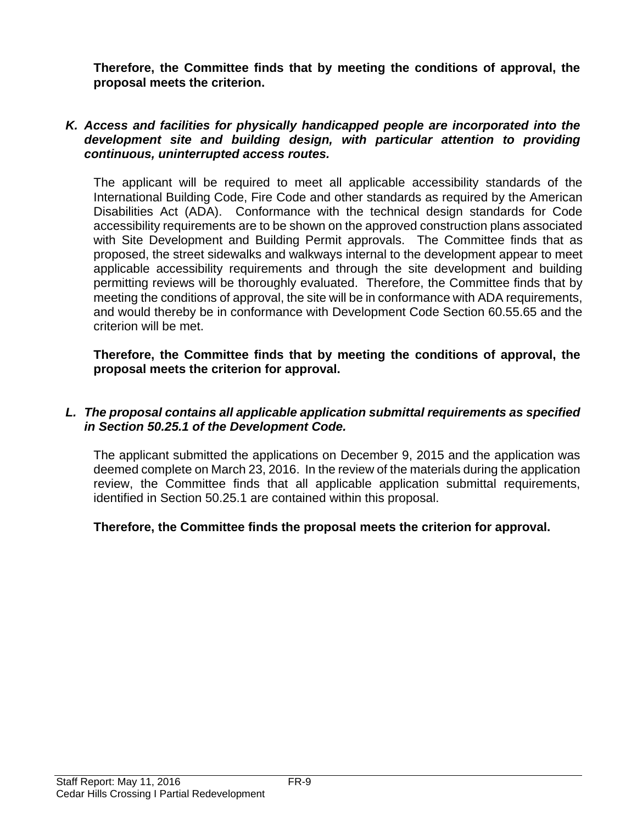**Therefore, the Committee finds that by meeting the conditions of approval, the proposal meets the criterion.** 

#### *K. Access and facilities for physically handicapped people are incorporated into the development site and building design, with particular attention to providing continuous, uninterrupted access routes.*

The applicant will be required to meet all applicable accessibility standards of the International Building Code, Fire Code and other standards as required by the American Disabilities Act (ADA). Conformance with the technical design standards for Code accessibility requirements are to be shown on the approved construction plans associated with Site Development and Building Permit approvals. The Committee finds that as proposed, the street sidewalks and walkways internal to the development appear to meet applicable accessibility requirements and through the site development and building permitting reviews will be thoroughly evaluated. Therefore, the Committee finds that by meeting the conditions of approval, the site will be in conformance with ADA requirements, and would thereby be in conformance with Development Code Section 60.55.65 and the criterion will be met.

**Therefore, the Committee finds that by meeting the conditions of approval, the proposal meets the criterion for approval.**

#### *L. The proposal contains all applicable application submittal requirements as specified in Section 50.25.1 of the Development Code.*

The applicant submitted the applications on December 9, 2015 and the application was deemed complete on March 23, 2016. In the review of the materials during the application review, the Committee finds that all applicable application submittal requirements, identified in Section 50.25.1 are contained within this proposal.

#### **Therefore, the Committee finds the proposal meets the criterion for approval.**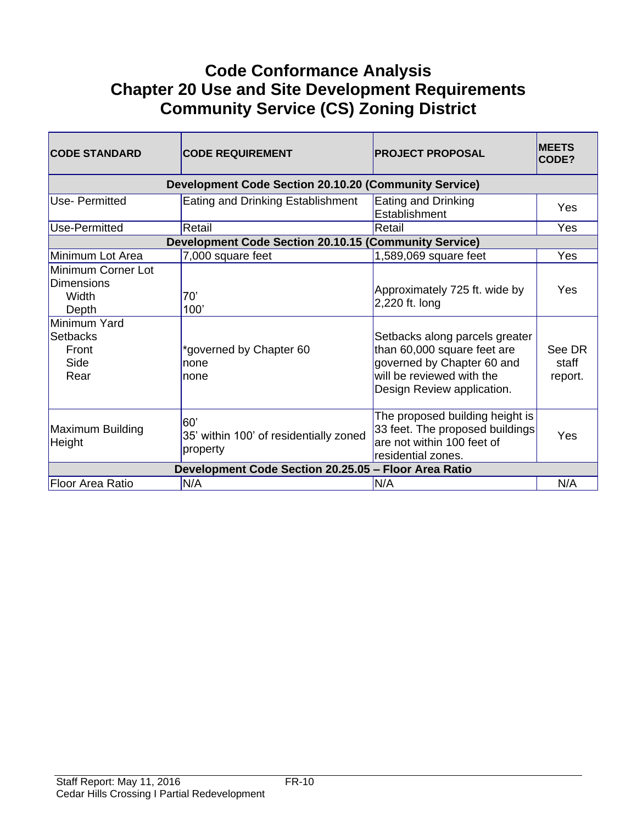# **Code Conformance Analysis Chapter 20 Use and Site Development Requirements Community Service (CS) Zoning District**

| <b>CODE STANDARD</b>                                      | <b>CODE REQUIREMENT</b>                                      | <b>PROJECT PROPOSAL</b>                                                                                                                                | <b>MEETS</b><br>CODE?      |
|-----------------------------------------------------------|--------------------------------------------------------------|--------------------------------------------------------------------------------------------------------------------------------------------------------|----------------------------|
|                                                           | <b>Development Code Section 20.10.20 (Community Service)</b> |                                                                                                                                                        |                            |
| Use- Permitted                                            | Eating and Drinking Establishment                            | Eating and Drinking<br>Establishment                                                                                                                   | Yes                        |
| Use-Permitted                                             | Retail                                                       | Retail                                                                                                                                                 | Yes                        |
|                                                           | <b>Development Code Section 20.10.15 (Community Service)</b> |                                                                                                                                                        |                            |
| Minimum Lot Area                                          | 7,000 square feet                                            | 1,589,069 square feet                                                                                                                                  | <b>Yes</b>                 |
| Minimum Corner Lot<br><b>Dimensions</b><br>Width<br>Depth | 70'<br>100'                                                  | Approximately 725 ft. wide by<br>2,220 ft. long                                                                                                        | Yes                        |
| Minimum Yard<br>Setbacks<br>Front<br>Side<br>Rear         | *governed by Chapter 60<br>none<br>Inone                     | Setbacks along parcels greater<br>than 60,000 square feet are<br>governed by Chapter 60 and<br>will be reviewed with the<br>Design Review application. | See DR<br>staff<br>report. |
| Maximum Building<br>Height                                | 60'<br>35' within 100' of residentially zoned<br>property    | The proposed building height is<br>33 feet. The proposed buildings<br>are not within 100 feet of<br>residential zones.                                 | Yes                        |
| Development Code Section 20.25.05 - Floor Area Ratio      |                                                              |                                                                                                                                                        |                            |
| <b>Floor Area Ratio</b>                                   | N/A                                                          | N/A                                                                                                                                                    | N/A                        |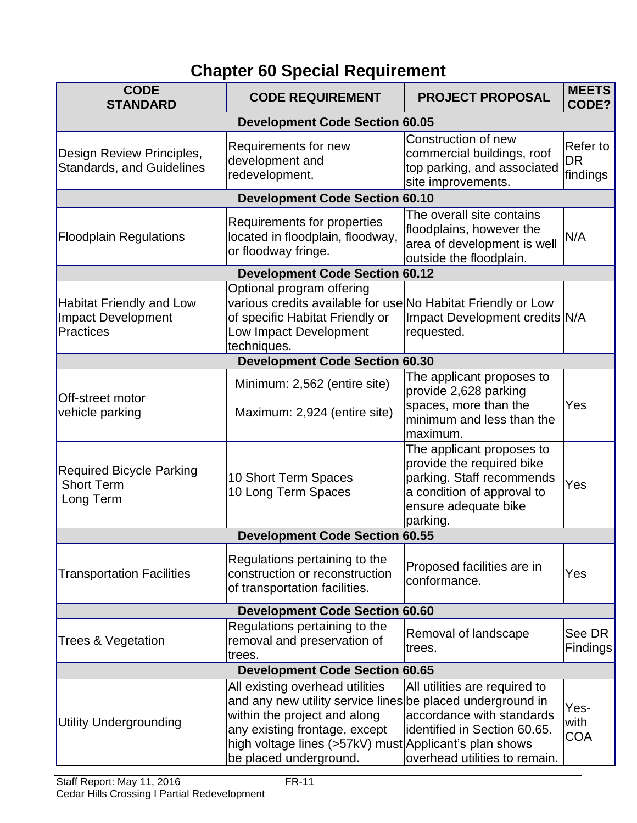# **Chapter 60 Special Requirement**

| <b>CODE</b><br><b>STANDARD</b>                                            | <b>CODE REQUIREMENT</b>                                                                                                                                                                                                                            | <b>PROJECT PROPOSAL</b>                                                                                                                               | <b>MEETS</b><br>CODE?             |
|---------------------------------------------------------------------------|----------------------------------------------------------------------------------------------------------------------------------------------------------------------------------------------------------------------------------------------------|-------------------------------------------------------------------------------------------------------------------------------------------------------|-----------------------------------|
| <b>Development Code Section 60.05</b>                                     |                                                                                                                                                                                                                                                    |                                                                                                                                                       |                                   |
| Design Review Principles,<br><b>Standards, and Guidelines</b>             | Requirements for new<br>development and<br>redevelopment.                                                                                                                                                                                          | Construction of new<br>commercial buildings, roof<br>top parking, and associated<br>site improvements.                                                | Refer to<br><b>DR</b><br>findings |
|                                                                           | <b>Development Code Section 60.10</b>                                                                                                                                                                                                              |                                                                                                                                                       |                                   |
| <b>Floodplain Regulations</b>                                             | Requirements for properties<br>located in floodplain, floodway,<br>or floodway fringe.                                                                                                                                                             | The overall site contains<br>floodplains, however the<br>area of development is well<br>outside the floodplain.                                       | N/A                               |
|                                                                           | <b>Development Code Section 60.12</b>                                                                                                                                                                                                              |                                                                                                                                                       |                                   |
| <b>Habitat Friendly and Low</b><br><b>Impact Development</b><br>Practices | Optional program offering<br>various credits available for use No Habitat Friendly or Low<br>of specific Habitat Friendly or<br>Low Impact Development<br>techniques.                                                                              | Impact Development credits N/A<br>requested.                                                                                                          |                                   |
|                                                                           | <b>Development Code Section 60.30</b>                                                                                                                                                                                                              |                                                                                                                                                       |                                   |
| Off-street motor<br>vehicle parking                                       | Minimum: 2,562 (entire site)<br>Maximum: 2,924 (entire site)                                                                                                                                                                                       | The applicant proposes to<br>provide 2,628 parking<br>spaces, more than the<br>minimum and less than the<br>maximum.                                  | Yes                               |
| <b>Required Bicycle Parking</b><br><b>Short Term</b><br>Long Term         | 10 Short Term Spaces<br>10 Long Term Spaces                                                                                                                                                                                                        | The applicant proposes to<br>provide the required bike<br>parking. Staff recommends<br>a condition of approval to<br>ensure adequate bike<br>parking. | Yes                               |
|                                                                           | <b>Development Code Section 60.55</b>                                                                                                                                                                                                              |                                                                                                                                                       |                                   |
| <b>Transportation Facilities</b>                                          | Regulations pertaining to the<br>construction or reconstruction<br>of transportation facilities.                                                                                                                                                   | Proposed facilities are in<br>conformance.                                                                                                            | Yes                               |
|                                                                           | <b>Development Code Section 60.60</b>                                                                                                                                                                                                              |                                                                                                                                                       |                                   |
| <b>Trees &amp; Vegetation</b>                                             | Regulations pertaining to the<br>removal and preservation of<br>trees.                                                                                                                                                                             | Removal of landscape<br>trees.                                                                                                                        | See DR<br><b>Findings</b>         |
| <b>Development Code Section 60.65</b>                                     |                                                                                                                                                                                                                                                    |                                                                                                                                                       |                                   |
| <b>Utility Undergrounding</b>                                             | All existing overhead utilities<br>and any new utility service lines be placed underground in<br>within the project and along<br>any existing frontage, except<br>high voltage lines (>57kV) must Applicant's plan shows<br>be placed underground. | All utilities are required to<br>accordance with standards<br>identified in Section 60.65.<br>overhead utilities to remain.                           | Yes-<br>with<br><b>COA</b>        |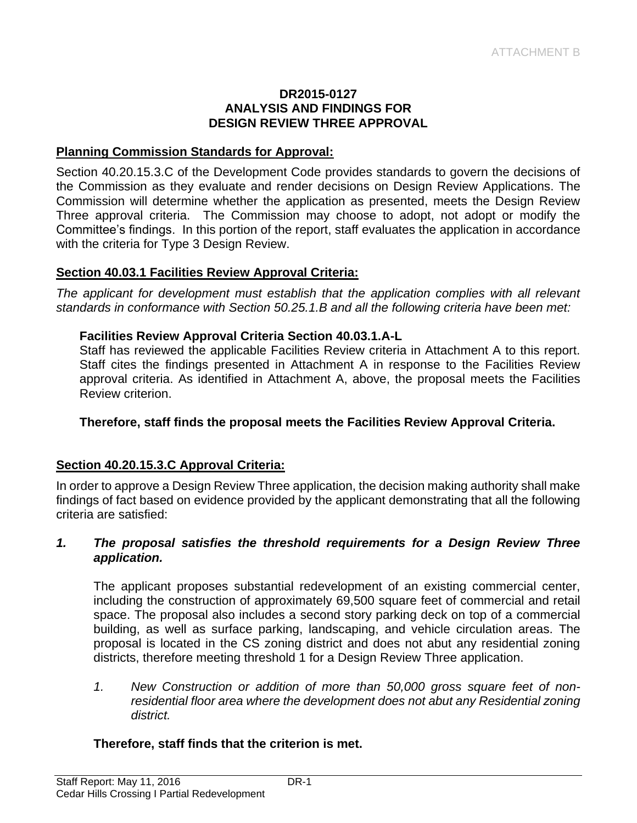#### **DR2015-0127 ANALYSIS AND FINDINGS FOR DESIGN REVIEW THREE APPROVAL**

#### **Planning Commission Standards for Approval:**

Section 40.20.15.3.C of the Development Code provides standards to govern the decisions of the Commission as they evaluate and render decisions on Design Review Applications. The Commission will determine whether the application as presented, meets the Design Review Three approval criteria. The Commission may choose to adopt, not adopt or modify the Committee's findings. In this portion of the report, staff evaluates the application in accordance with the criteria for Type 3 Design Review.

#### **Section 40.03.1 Facilities Review Approval Criteria:**

*The applicant for development must establish that the application complies with all relevant standards in conformance with Section 50.25.1.B and all the following criteria have been met:* 

#### **Facilities Review Approval Criteria Section 40.03.1.A-L**

Staff has reviewed the applicable Facilities Review criteria in Attachment A to this report. Staff cites the findings presented in Attachment A in response to the Facilities Review approval criteria. As identified in Attachment A, above, the proposal meets the Facilities Review criterion.

#### **Therefore, staff finds the proposal meets the Facilities Review Approval Criteria.**

#### **Section 40.20.15.3.C Approval Criteria:**

In order to approve a Design Review Three application, the decision making authority shall make findings of fact based on evidence provided by the applicant demonstrating that all the following criteria are satisfied:

#### *1. The proposal satisfies the threshold requirements for a Design Review Three application.*

The applicant proposes substantial redevelopment of an existing commercial center, including the construction of approximately 69,500 square feet of commercial and retail space. The proposal also includes a second story parking deck on top of a commercial building, as well as surface parking, landscaping, and vehicle circulation areas. The proposal is located in the CS zoning district and does not abut any residential zoning districts, therefore meeting threshold 1 for a Design Review Three application.

*1. New Construction or addition of more than 50,000 gross square feet of nonresidential floor area where the development does not abut any Residential zoning district.* 

#### **Therefore, staff finds that the criterion is met.**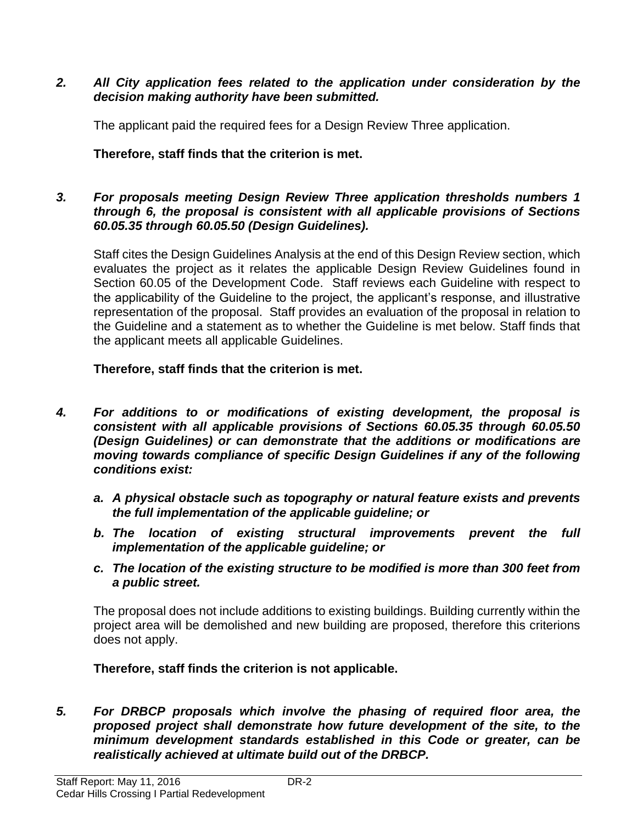#### *2. All City application fees related to the application under consideration by the decision making authority have been submitted.*

The applicant paid the required fees for a Design Review Three application.

**Therefore, staff finds that the criterion is met.**

#### *3. For proposals meeting Design Review Three application thresholds numbers 1 through 6, the proposal is consistent with all applicable provisions of Sections 60.05.35 through 60.05.50 (Design Guidelines).*

Staff cites the Design Guidelines Analysis at the end of this Design Review section, which evaluates the project as it relates the applicable Design Review Guidelines found in Section 60.05 of the Development Code. Staff reviews each Guideline with respect to the applicability of the Guideline to the project, the applicant's response, and illustrative representation of the proposal. Staff provides an evaluation of the proposal in relation to the Guideline and a statement as to whether the Guideline is met below. Staff finds that the applicant meets all applicable Guidelines.

## **Therefore, staff finds that the criterion is met.**

- *4. For additions to or modifications of existing development, the proposal is consistent with all applicable provisions of Sections 60.05.35 through 60.05.50 (Design Guidelines) or can demonstrate that the additions or modifications are moving towards compliance of specific Design Guidelines if any of the following conditions exist:*
	- *a. A physical obstacle such as topography or natural feature exists and prevents the full implementation of the applicable guideline; or*
	- *b. The location of existing structural improvements prevent the full implementation of the applicable guideline; or*
	- *c. The location of the existing structure to be modified is more than 300 feet from a public street.*

The proposal does not include additions to existing buildings. Building currently within the project area will be demolished and new building are proposed, therefore this criterions does not apply.

**Therefore, staff finds the criterion is not applicable.**

*5. For DRBCP proposals which involve the phasing of required floor area, the proposed project shall demonstrate how future development of the site, to the minimum development standards established in this Code or greater, can be realistically achieved at ultimate build out of the DRBCP.*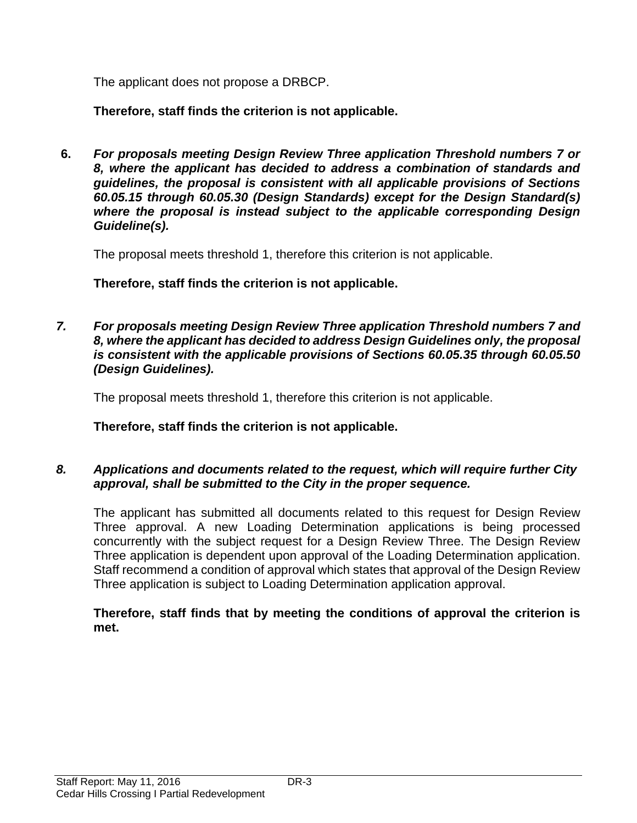The applicant does not propose a DRBCP.

**Therefore, staff finds the criterion is not applicable.**

**6.** *For proposals meeting Design Review Three application Threshold numbers 7 or 8, where the applicant has decided to address a combination of standards and guidelines, the proposal is consistent with all applicable provisions of Sections 60.05.15 through 60.05.30 (Design Standards) except for the Design Standard(s) where the proposal is instead subject to the applicable corresponding Design Guideline(s).* 

The proposal meets threshold 1, therefore this criterion is not applicable.

**Therefore, staff finds the criterion is not applicable.**

*7. For proposals meeting Design Review Three application Threshold numbers 7 and 8, where the applicant has decided to address Design Guidelines only, the proposal is consistent with the applicable provisions of Sections 60.05.35 through 60.05.50 (Design Guidelines).*

The proposal meets threshold 1, therefore this criterion is not applicable.

**Therefore, staff finds the criterion is not applicable.**

## *8. Applications and documents related to the request, which will require further City approval, shall be submitted to the City in the proper sequence.*

The applicant has submitted all documents related to this request for Design Review Three approval. A new Loading Determination applications is being processed concurrently with the subject request for a Design Review Three. The Design Review Three application is dependent upon approval of the Loading Determination application. Staff recommend a condition of approval which states that approval of the Design Review Three application is subject to Loading Determination application approval.

#### **Therefore, staff finds that by meeting the conditions of approval the criterion is met.**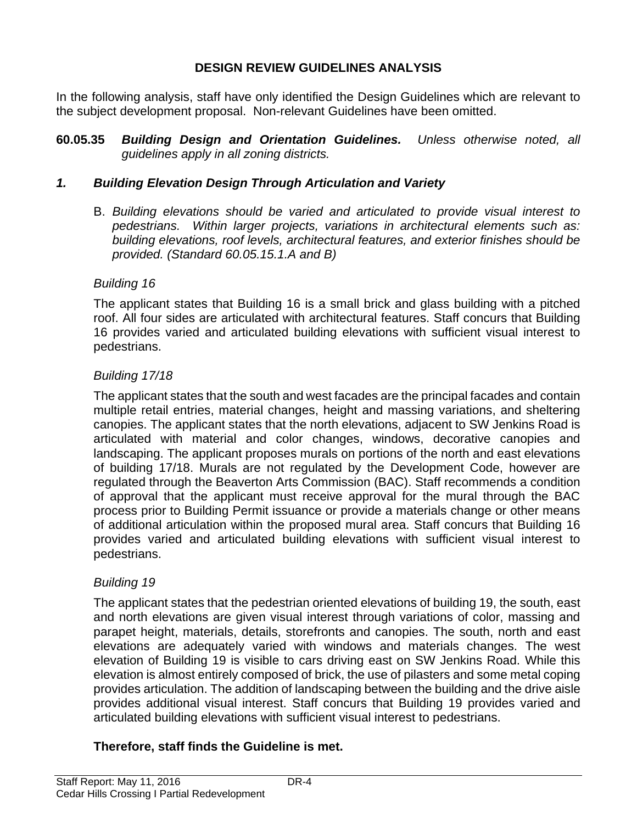#### **DESIGN REVIEW GUIDELINES ANALYSIS**

In the following analysis, staff have only identified the Design Guidelines which are relevant to the subject development proposal. Non-relevant Guidelines have been omitted.

**60.05.35** *Building Design and Orientation Guidelines. Unless otherwise noted, all guidelines apply in all zoning districts.*

#### *1. Building Elevation Design Through Articulation and Variety*

B. *Building elevations should be varied and articulated to provide visual interest to pedestrians. Within larger projects, variations in architectural elements such as: building elevations, roof levels, architectural features, and exterior finishes should be provided. (Standard 60.05.15.1.A and B)*

#### *Building 16*

The applicant states that Building 16 is a small brick and glass building with a pitched roof. All four sides are articulated with architectural features. Staff concurs that Building 16 provides varied and articulated building elevations with sufficient visual interest to pedestrians.

#### *Building 17/18*

The applicant states that the south and west facades are the principal facades and contain multiple retail entries, material changes, height and massing variations, and sheltering canopies. The applicant states that the north elevations, adjacent to SW Jenkins Road is articulated with material and color changes, windows, decorative canopies and landscaping. The applicant proposes murals on portions of the north and east elevations of building 17/18. Murals are not regulated by the Development Code, however are regulated through the Beaverton Arts Commission (BAC). Staff recommends a condition of approval that the applicant must receive approval for the mural through the BAC process prior to Building Permit issuance or provide a materials change or other means of additional articulation within the proposed mural area. Staff concurs that Building 16 provides varied and articulated building elevations with sufficient visual interest to pedestrians.

#### *Building 19*

The applicant states that the pedestrian oriented elevations of building 19, the south, east and north elevations are given visual interest through variations of color, massing and parapet height, materials, details, storefronts and canopies. The south, north and east elevations are adequately varied with windows and materials changes. The west elevation of Building 19 is visible to cars driving east on SW Jenkins Road. While this elevation is almost entirely composed of brick, the use of pilasters and some metal coping provides articulation. The addition of landscaping between the building and the drive aisle provides additional visual interest. Staff concurs that Building 19 provides varied and articulated building elevations with sufficient visual interest to pedestrians.

## **Therefore, staff finds the Guideline is met.**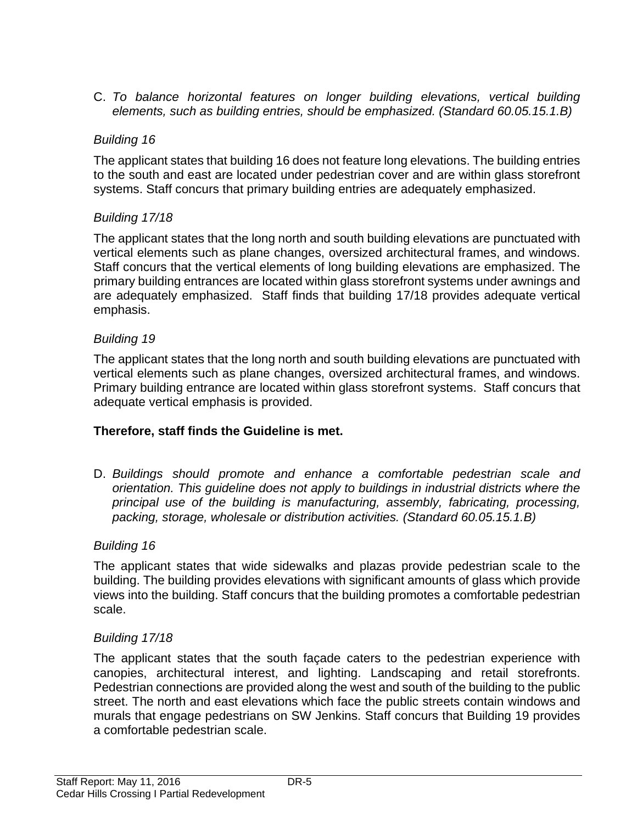C. *To balance horizontal features on longer building elevations, vertical building elements, such as building entries, should be emphasized. (Standard 60.05.15.1.B)*

## *Building 16*

The applicant states that building 16 does not feature long elevations. The building entries to the south and east are located under pedestrian cover and are within glass storefront systems. Staff concurs that primary building entries are adequately emphasized.

## *Building 17/18*

The applicant states that the long north and south building elevations are punctuated with vertical elements such as plane changes, oversized architectural frames, and windows. Staff concurs that the vertical elements of long building elevations are emphasized. The primary building entrances are located within glass storefront systems under awnings and are adequately emphasized. Staff finds that building 17/18 provides adequate vertical emphasis.

## *Building 19*

The applicant states that the long north and south building elevations are punctuated with vertical elements such as plane changes, oversized architectural frames, and windows. Primary building entrance are located within glass storefront systems. Staff concurs that adequate vertical emphasis is provided.

## **Therefore, staff finds the Guideline is met.**

D. *Buildings should promote and enhance a comfortable pedestrian scale and orientation. This guideline does not apply to buildings in industrial districts where the principal use of the building is manufacturing, assembly, fabricating, processing, packing, storage, wholesale or distribution activities. (Standard 60.05.15.1.B)* 

## *Building 16*

The applicant states that wide sidewalks and plazas provide pedestrian scale to the building. The building provides elevations with significant amounts of glass which provide views into the building. Staff concurs that the building promotes a comfortable pedestrian scale.

## *Building 17/18*

The applicant states that the south façade caters to the pedestrian experience with canopies, architectural interest, and lighting. Landscaping and retail storefronts. Pedestrian connections are provided along the west and south of the building to the public street. The north and east elevations which face the public streets contain windows and murals that engage pedestrians on SW Jenkins. Staff concurs that Building 19 provides a comfortable pedestrian scale.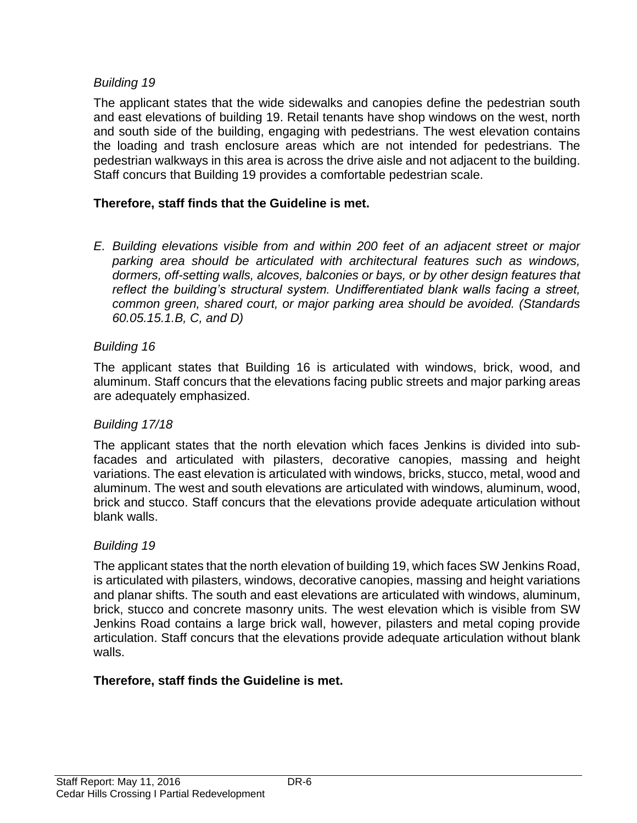#### *Building 19*

The applicant states that the wide sidewalks and canopies define the pedestrian south and east elevations of building 19. Retail tenants have shop windows on the west, north and south side of the building, engaging with pedestrians. The west elevation contains the loading and trash enclosure areas which are not intended for pedestrians. The pedestrian walkways in this area is across the drive aisle and not adjacent to the building. Staff concurs that Building 19 provides a comfortable pedestrian scale.

#### **Therefore, staff finds that the Guideline is met.**

*E. Building elevations visible from and within 200 feet of an adjacent street or major parking area should be articulated with architectural features such as windows, dormers, off-setting walls, alcoves, balconies or bays, or by other design features that reflect the building's structural system. Undifferentiated blank walls facing a street, common green, shared court, or major parking area should be avoided. (Standards 60.05.15.1.B, C, and D)* 

#### *Building 16*

The applicant states that Building 16 is articulated with windows, brick, wood, and aluminum. Staff concurs that the elevations facing public streets and major parking areas are adequately emphasized.

#### *Building 17/18*

The applicant states that the north elevation which faces Jenkins is divided into subfacades and articulated with pilasters, decorative canopies, massing and height variations. The east elevation is articulated with windows, bricks, stucco, metal, wood and aluminum. The west and south elevations are articulated with windows, aluminum, wood, brick and stucco. Staff concurs that the elevations provide adequate articulation without blank walls.

#### *Building 19*

The applicant states that the north elevation of building 19, which faces SW Jenkins Road, is articulated with pilasters, windows, decorative canopies, massing and height variations and planar shifts. The south and east elevations are articulated with windows, aluminum, brick, stucco and concrete masonry units. The west elevation which is visible from SW Jenkins Road contains a large brick wall, however, pilasters and metal coping provide articulation. Staff concurs that the elevations provide adequate articulation without blank walls.

#### **Therefore, staff finds the Guideline is met.**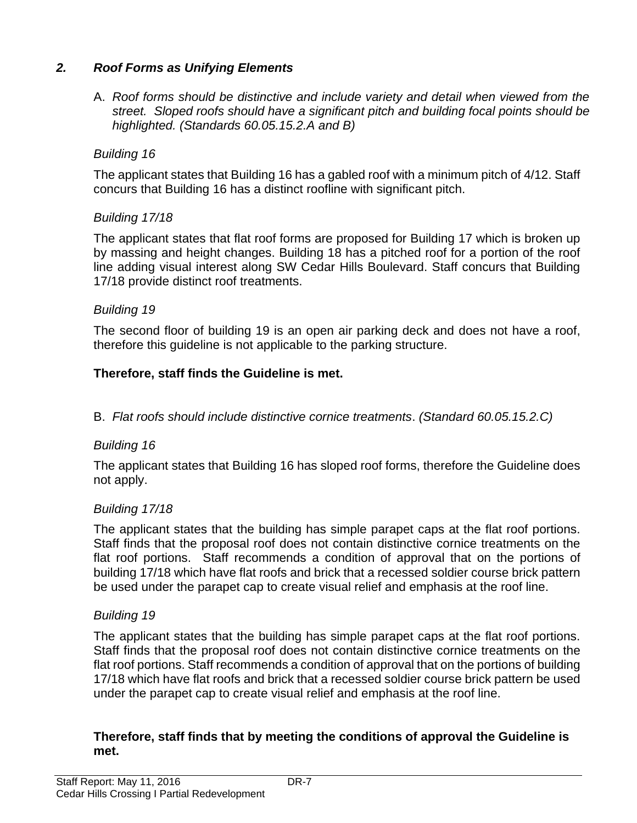## *2. Roof Forms as Unifying Elements*

A. *Roof forms should be distinctive and include variety and detail when viewed from the street. Sloped roofs should have a significant pitch and building focal points should be highlighted. (Standards 60.05.15.2.A and B)*

#### *Building 16*

The applicant states that Building 16 has a gabled roof with a minimum pitch of 4/12. Staff concurs that Building 16 has a distinct roofline with significant pitch.

#### *Building 17/18*

The applicant states that flat roof forms are proposed for Building 17 which is broken up by massing and height changes. Building 18 has a pitched roof for a portion of the roof line adding visual interest along SW Cedar Hills Boulevard. Staff concurs that Building 17/18 provide distinct roof treatments.

#### *Building 19*

The second floor of building 19 is an open air parking deck and does not have a roof, therefore this guideline is not applicable to the parking structure.

#### **Therefore, staff finds the Guideline is met.**

B. *Flat roofs should include distinctive cornice treatments*. *(Standard 60.05.15.2.C)*

#### *Building 16*

The applicant states that Building 16 has sloped roof forms, therefore the Guideline does not apply.

#### *Building 17/18*

The applicant states that the building has simple parapet caps at the flat roof portions. Staff finds that the proposal roof does not contain distinctive cornice treatments on the flat roof portions. Staff recommends a condition of approval that on the portions of building 17/18 which have flat roofs and brick that a recessed soldier course brick pattern be used under the parapet cap to create visual relief and emphasis at the roof line.

#### *Building 19*

The applicant states that the building has simple parapet caps at the flat roof portions. Staff finds that the proposal roof does not contain distinctive cornice treatments on the flat roof portions. Staff recommends a condition of approval that on the portions of building 17/18 which have flat roofs and brick that a recessed soldier course brick pattern be used under the parapet cap to create visual relief and emphasis at the roof line.

#### **Therefore, staff finds that by meeting the conditions of approval the Guideline is met.**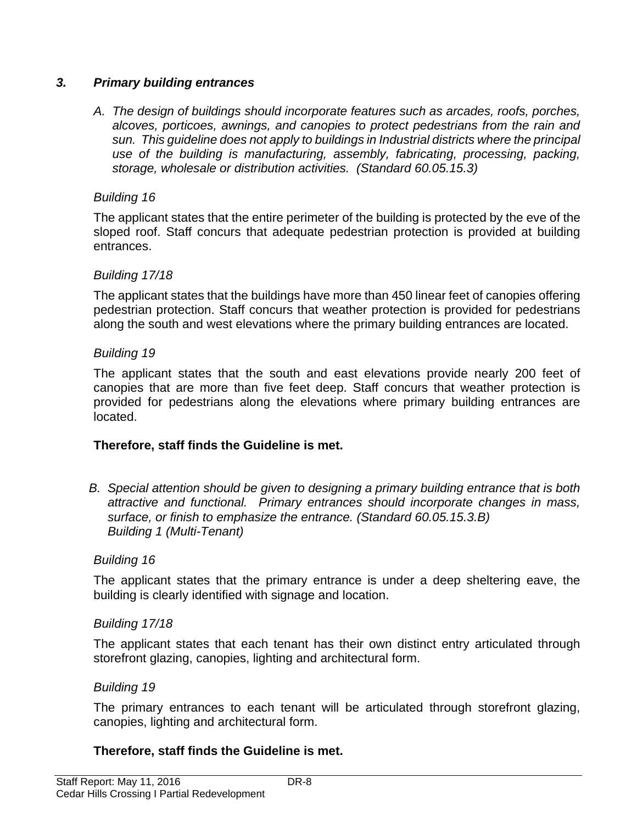#### *3. Primary building entrances*

*A. The design of buildings should incorporate features such as arcades, roofs, porches, alcoves, porticoes, awnings, and canopies to protect pedestrians from the rain and sun. This guideline does not apply to buildings in Industrial districts where the principal use of the building is manufacturing, assembly, fabricating, processing, packing, storage, wholesale or distribution activities. (Standard 60.05.15.3)* 

#### *Building 16*

The applicant states that the entire perimeter of the building is protected by the eve of the sloped roof. Staff concurs that adequate pedestrian protection is provided at building entrances.

#### *Building 17/18*

The applicant states that the buildings have more than 450 linear feet of canopies offering pedestrian protection. Staff concurs that weather protection is provided for pedestrians along the south and west elevations where the primary building entrances are located.

#### *Building 19*

The applicant states that the south and east elevations provide nearly 200 feet of canopies that are more than five feet deep. Staff concurs that weather protection is provided for pedestrians along the elevations where primary building entrances are located.

#### **Therefore, staff finds the Guideline is met.**

*B. Special attention should be given to designing a primary building entrance that is both attractive and functional. Primary entrances should incorporate changes in mass, surface, or finish to emphasize the entrance. (Standard 60.05.15.3.B) Building 1 (Multi-Tenant)*

#### *Building 16*

The applicant states that the primary entrance is under a deep sheltering eave, the building is clearly identified with signage and location.

#### *Building 17/18*

The applicant states that each tenant has their own distinct entry articulated through storefront glazing, canopies, lighting and architectural form.

#### *Building 19*

The primary entrances to each tenant will be articulated through storefront glazing, canopies, lighting and architectural form.

#### **Therefore, staff finds the Guideline is met.**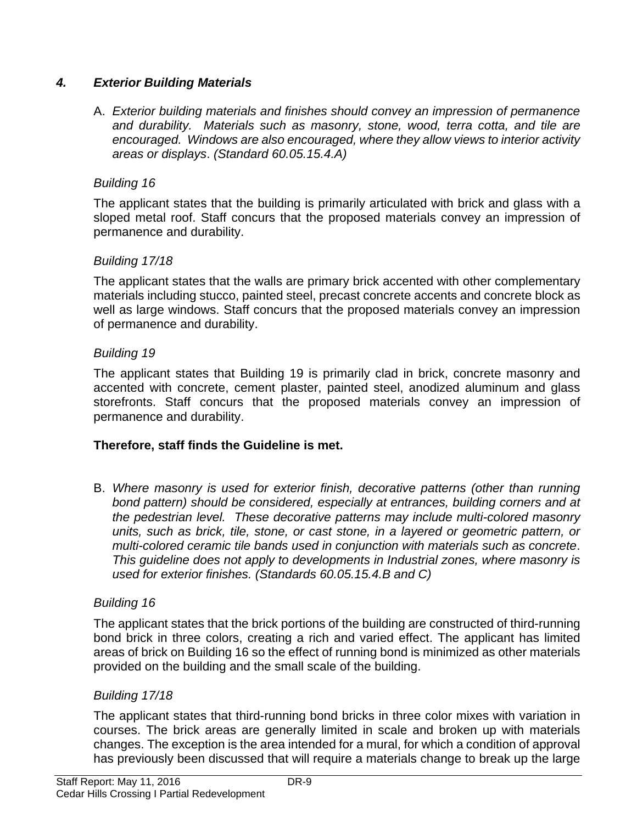## *4. Exterior Building Materials*

A. *Exterior building materials and finishes should convey an impression of permanence and durability. Materials such as masonry, stone, wood, terra cotta, and tile are encouraged. Windows are also encouraged, where they allow views to interior activity areas or displays*. *(Standard 60.05.15.4.A)*

## *Building 16*

The applicant states that the building is primarily articulated with brick and glass with a sloped metal roof. Staff concurs that the proposed materials convey an impression of permanence and durability.

#### *Building 17/18*

The applicant states that the walls are primary brick accented with other complementary materials including stucco, painted steel, precast concrete accents and concrete block as well as large windows. Staff concurs that the proposed materials convey an impression of permanence and durability.

#### *Building 19*

The applicant states that Building 19 is primarily clad in brick, concrete masonry and accented with concrete, cement plaster, painted steel, anodized aluminum and glass storefronts. Staff concurs that the proposed materials convey an impression of permanence and durability.

#### **Therefore, staff finds the Guideline is met.**

B. *Where masonry is used for exterior finish, decorative patterns (other than running bond pattern) should be considered, especially at entrances, building corners and at the pedestrian level. These decorative patterns may include multi-colored masonry units, such as brick, tile, stone, or cast stone, in a layered or geometric pattern, or multi-colored ceramic tile bands used in conjunction with materials such as concrete*. *This guideline does not apply to developments in Industrial zones, where masonry is used for exterior finishes. (Standards 60.05.15.4.B and C)*

#### *Building 16*

The applicant states that the brick portions of the building are constructed of third-running bond brick in three colors, creating a rich and varied effect. The applicant has limited areas of brick on Building 16 so the effect of running bond is minimized as other materials provided on the building and the small scale of the building.

#### *Building 17/18*

The applicant states that third-running bond bricks in three color mixes with variation in courses. The brick areas are generally limited in scale and broken up with materials changes. The exception is the area intended for a mural, for which a condition of approval has previously been discussed that will require a materials change to break up the large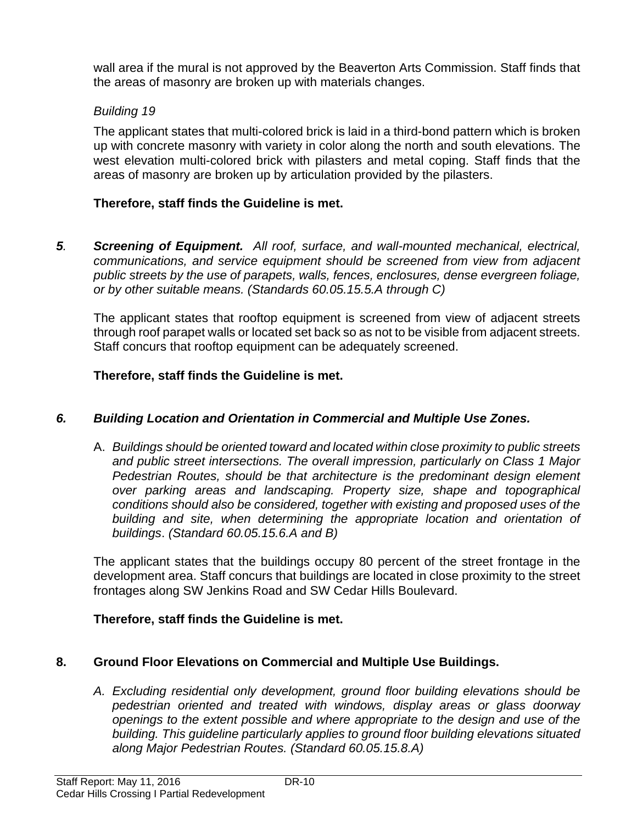wall area if the mural is not approved by the Beaverton Arts Commission. Staff finds that the areas of masonry are broken up with materials changes.

## *Building 19*

The applicant states that multi-colored brick is laid in a third-bond pattern which is broken up with concrete masonry with variety in color along the north and south elevations. The west elevation multi-colored brick with pilasters and metal coping. Staff finds that the areas of masonry are broken up by articulation provided by the pilasters.

#### **Therefore, staff finds the Guideline is met.**

*5. Screening of Equipment. All roof, surface, and wall-mounted mechanical, electrical, communications, and service equipment should be screened from view from adjacent public streets by the use of parapets, walls, fences, enclosures, dense evergreen foliage, or by other suitable means. (Standards 60.05.15.5.A through C)*

The applicant states that rooftop equipment is screened from view of adjacent streets through roof parapet walls or located set back so as not to be visible from adjacent streets. Staff concurs that rooftop equipment can be adequately screened.

#### **Therefore, staff finds the Guideline is met.**

## *6. Building Location and Orientation in Commercial and Multiple Use Zones.*

A. *Buildings should be oriented toward and located within close proximity to public streets and public street intersections. The overall impression, particularly on Class 1 Major Pedestrian Routes, should be that architecture is the predominant design element over parking areas and landscaping. Property size, shape and topographical conditions should also be considered, together with existing and proposed uses of the building and site, when determining the appropriate location and orientation of buildings*. *(Standard 60.05.15.6.A and B)*

The applicant states that the buildings occupy 80 percent of the street frontage in the development area. Staff concurs that buildings are located in close proximity to the street frontages along SW Jenkins Road and SW Cedar Hills Boulevard.

#### **Therefore, staff finds the Guideline is met.**

#### **8. Ground Floor Elevations on Commercial and Multiple Use Buildings.**

*A. Excluding residential only development, ground floor building elevations should be pedestrian oriented and treated with windows, display areas or glass doorway openings to the extent possible and where appropriate to the design and use of the building. This guideline particularly applies to ground floor building elevations situated along Major Pedestrian Routes. (Standard 60.05.15.8.A)*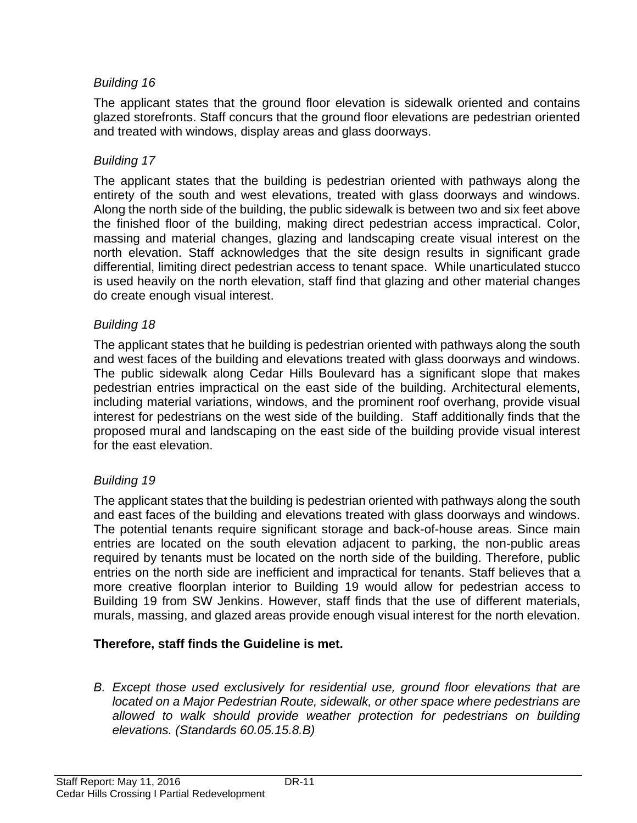## *Building 16*

The applicant states that the ground floor elevation is sidewalk oriented and contains glazed storefronts. Staff concurs that the ground floor elevations are pedestrian oriented and treated with windows, display areas and glass doorways.

#### *Building 17*

The applicant states that the building is pedestrian oriented with pathways along the entirety of the south and west elevations, treated with glass doorways and windows. Along the north side of the building, the public sidewalk is between two and six feet above the finished floor of the building, making direct pedestrian access impractical. Color, massing and material changes, glazing and landscaping create visual interest on the north elevation. Staff acknowledges that the site design results in significant grade differential, limiting direct pedestrian access to tenant space. While unarticulated stucco is used heavily on the north elevation, staff find that glazing and other material changes do create enough visual interest.

#### *Building 18*

The applicant states that he building is pedestrian oriented with pathways along the south and west faces of the building and elevations treated with glass doorways and windows. The public sidewalk along Cedar Hills Boulevard has a significant slope that makes pedestrian entries impractical on the east side of the building. Architectural elements, including material variations, windows, and the prominent roof overhang, provide visual interest for pedestrians on the west side of the building. Staff additionally finds that the proposed mural and landscaping on the east side of the building provide visual interest for the east elevation.

## *Building 19*

The applicant states that the building is pedestrian oriented with pathways along the south and east faces of the building and elevations treated with glass doorways and windows. The potential tenants require significant storage and back-of-house areas. Since main entries are located on the south elevation adjacent to parking, the non-public areas required by tenants must be located on the north side of the building. Therefore, public entries on the north side are inefficient and impractical for tenants. Staff believes that a more creative floorplan interior to Building 19 would allow for pedestrian access to Building 19 from SW Jenkins. However, staff finds that the use of different materials, murals, massing, and glazed areas provide enough visual interest for the north elevation.

#### **Therefore, staff finds the Guideline is met.**

*B. Except those used exclusively for residential use, ground floor elevations that are located on a Major Pedestrian Route, sidewalk, or other space where pedestrians are*  allowed to walk should provide weather protection for pedestrians on building *elevations. (Standards 60.05.15.8.B)*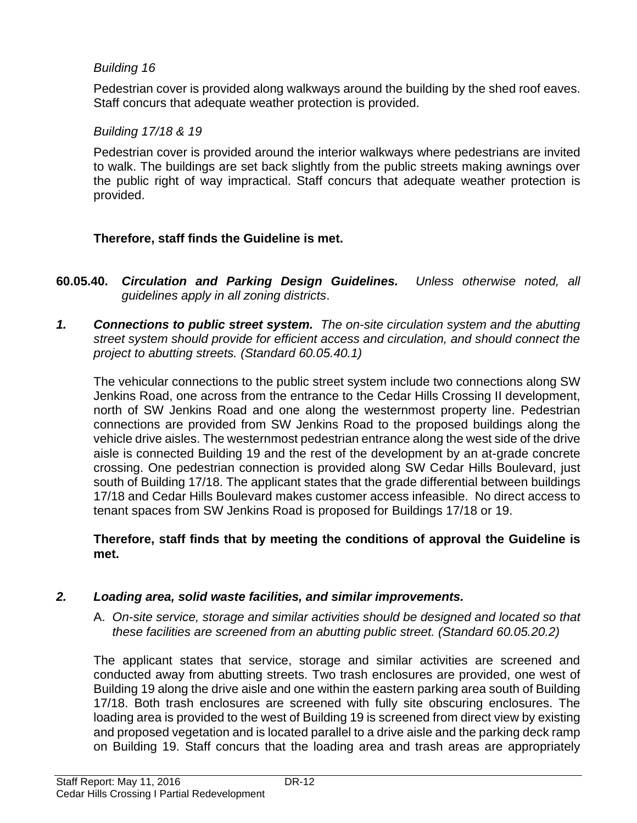#### *Building 16*

Pedestrian cover is provided along walkways around the building by the shed roof eaves. Staff concurs that adequate weather protection is provided.

#### *Building 17/18 & 19*

Pedestrian cover is provided around the interior walkways where pedestrians are invited to walk. The buildings are set back slightly from the public streets making awnings over the public right of way impractical. Staff concurs that adequate weather protection is provided.

## **Therefore, staff finds the Guideline is met.**

- **60.05.40.** *Circulation and Parking Design Guidelines. Unless otherwise noted, all guidelines apply in all zoning districts*.
- *1. Connections to public street system. The on-site circulation system and the abutting street system should provide for efficient access and circulation, and should connect the project to abutting streets. (Standard 60.05.40.1)*

The vehicular connections to the public street system include two connections along SW Jenkins Road, one across from the entrance to the Cedar Hills Crossing II development, north of SW Jenkins Road and one along the westernmost property line. Pedestrian connections are provided from SW Jenkins Road to the proposed buildings along the vehicle drive aisles. The westernmost pedestrian entrance along the west side of the drive aisle is connected Building 19 and the rest of the development by an at-grade concrete crossing. One pedestrian connection is provided along SW Cedar Hills Boulevard, just south of Building 17/18. The applicant states that the grade differential between buildings 17/18 and Cedar Hills Boulevard makes customer access infeasible. No direct access to tenant spaces from SW Jenkins Road is proposed for Buildings 17/18 or 19.

#### **Therefore, staff finds that by meeting the conditions of approval the Guideline is met.**

#### *2. Loading area, solid waste facilities, and similar improvements.*

A. *On-site service, storage and similar activities should be designed and located so that these facilities are screened from an abutting public street. (Standard 60.05.20.2)*

The applicant states that service, storage and similar activities are screened and conducted away from abutting streets. Two trash enclosures are provided, one west of Building 19 along the drive aisle and one within the eastern parking area south of Building 17/18. Both trash enclosures are screened with fully site obscuring enclosures. The loading area is provided to the west of Building 19 is screened from direct view by existing and proposed vegetation and is located parallel to a drive aisle and the parking deck ramp on Building 19. Staff concurs that the loading area and trash areas are appropriately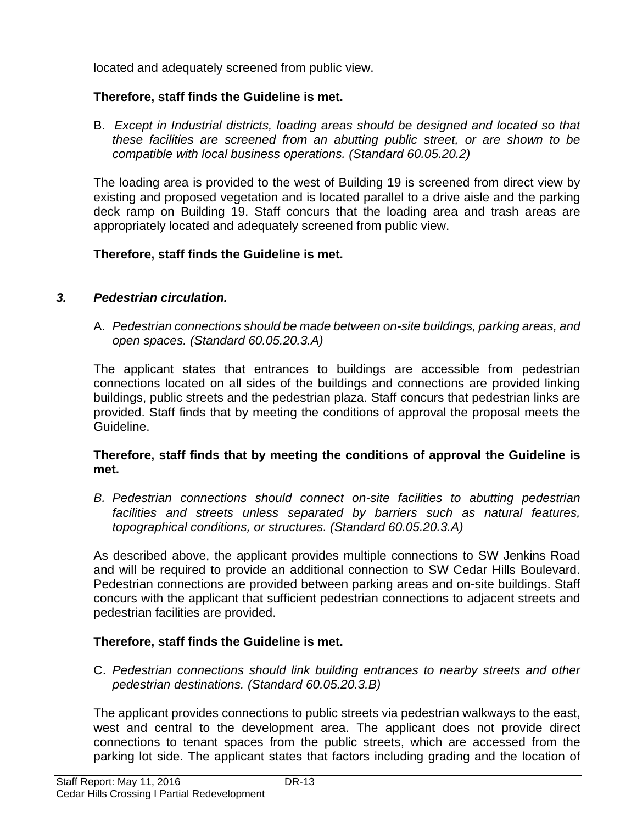located and adequately screened from public view.

## **Therefore, staff finds the Guideline is met.**

B. *Except in Industrial districts, loading areas should be designed and located so that these facilities are screened from an abutting public street, or are shown to be compatible with local business operations. (Standard 60.05.20.2)*

The loading area is provided to the west of Building 19 is screened from direct view by existing and proposed vegetation and is located parallel to a drive aisle and the parking deck ramp on Building 19. Staff concurs that the loading area and trash areas are appropriately located and adequately screened from public view.

## **Therefore, staff finds the Guideline is met.**

## *3. Pedestrian circulation.*

A. *Pedestrian connections should be made between on-site buildings, parking areas, and open spaces. (Standard 60.05.20.3.A)*

The applicant states that entrances to buildings are accessible from pedestrian connections located on all sides of the buildings and connections are provided linking buildings, public streets and the pedestrian plaza. Staff concurs that pedestrian links are provided. Staff finds that by meeting the conditions of approval the proposal meets the Guideline.

#### **Therefore, staff finds that by meeting the conditions of approval the Guideline is met.**

*B. Pedestrian connections should connect on-site facilities to abutting pedestrian facilities and streets unless separated by barriers such as natural features, topographical conditions, or structures. (Standard 60.05.20.3.A)*

As described above, the applicant provides multiple connections to SW Jenkins Road and will be required to provide an additional connection to SW Cedar Hills Boulevard. Pedestrian connections are provided between parking areas and on-site buildings. Staff concurs with the applicant that sufficient pedestrian connections to adjacent streets and pedestrian facilities are provided.

## **Therefore, staff finds the Guideline is met.**

C. *Pedestrian connections should link building entrances to nearby streets and other pedestrian destinations. (Standard 60.05.20.3.B)*

The applicant provides connections to public streets via pedestrian walkways to the east, west and central to the development area. The applicant does not provide direct connections to tenant spaces from the public streets, which are accessed from the parking lot side. The applicant states that factors including grading and the location of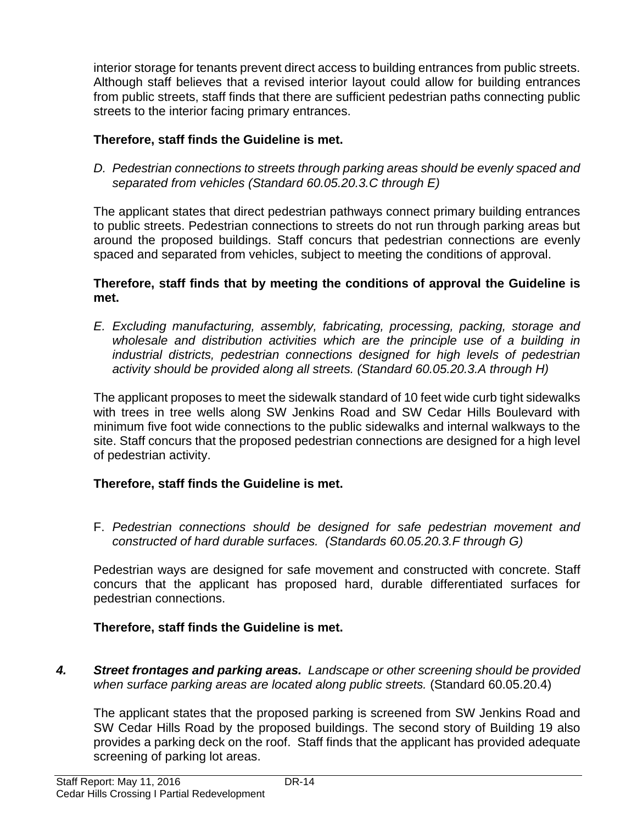interior storage for tenants prevent direct access to building entrances from public streets. Although staff believes that a revised interior layout could allow for building entrances from public streets, staff finds that there are sufficient pedestrian paths connecting public streets to the interior facing primary entrances.

## **Therefore, staff finds the Guideline is met.**

*D. Pedestrian connections to streets through parking areas should be evenly spaced and separated from vehicles (Standard 60.05.20.3.C through E)*

The applicant states that direct pedestrian pathways connect primary building entrances to public streets. Pedestrian connections to streets do not run through parking areas but around the proposed buildings. Staff concurs that pedestrian connections are evenly spaced and separated from vehicles, subject to meeting the conditions of approval.

#### **Therefore, staff finds that by meeting the conditions of approval the Guideline is met.**

*E. Excluding manufacturing, assembly, fabricating, processing, packing, storage and wholesale and distribution activities which are the principle use of a building in industrial districts, pedestrian connections designed for high levels of pedestrian activity should be provided along all streets. (Standard 60.05.20.3.A through H)*

The applicant proposes to meet the sidewalk standard of 10 feet wide curb tight sidewalks with trees in tree wells along SW Jenkins Road and SW Cedar Hills Boulevard with minimum five foot wide connections to the public sidewalks and internal walkways to the site. Staff concurs that the proposed pedestrian connections are designed for a high level of pedestrian activity.

#### **Therefore, staff finds the Guideline is met.**

F. *Pedestrian connections should be designed for safe pedestrian movement and constructed of hard durable surfaces. (Standards 60.05.20.3.F through G)*

Pedestrian ways are designed for safe movement and constructed with concrete. Staff concurs that the applicant has proposed hard, durable differentiated surfaces for pedestrian connections.

#### **Therefore, staff finds the Guideline is met.**

*4. Street frontages and parking areas. Landscape or other screening should be provided when surface parking areas are located along public streets.* (Standard 60.05.20.4)

The applicant states that the proposed parking is screened from SW Jenkins Road and SW Cedar Hills Road by the proposed buildings. The second story of Building 19 also provides a parking deck on the roof. Staff finds that the applicant has provided adequate screening of parking lot areas.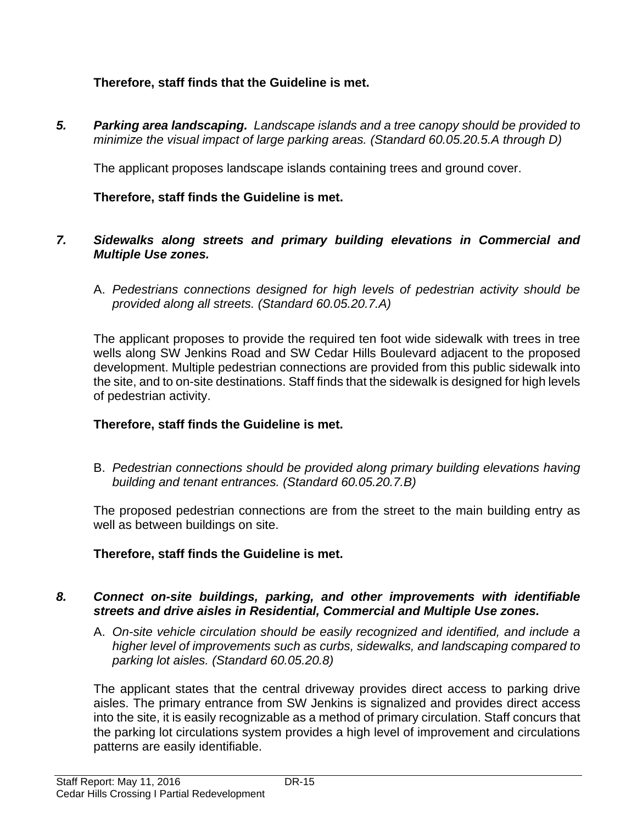## **Therefore, staff finds that the Guideline is met.**

*5. Parking area landscaping. Landscape islands and a tree canopy should be provided to minimize the visual impact of large parking areas. (Standard 60.05.20.5.A through D)*

The applicant proposes landscape islands containing trees and ground cover.

#### **Therefore, staff finds the Guideline is met.**

#### *7. Sidewalks along streets and primary building elevations in Commercial and Multiple Use zones.*

A. *Pedestrians connections designed for high levels of pedestrian activity should be provided along all streets. (Standard 60.05.20.7.A)*

The applicant proposes to provide the required ten foot wide sidewalk with trees in tree wells along SW Jenkins Road and SW Cedar Hills Boulevard adjacent to the proposed development. Multiple pedestrian connections are provided from this public sidewalk into the site, and to on-site destinations. Staff finds that the sidewalk is designed for high levels of pedestrian activity.

#### **Therefore, staff finds the Guideline is met.**

B. *Pedestrian connections should be provided along primary building elevations having building and tenant entrances. (Standard 60.05.20.7.B)*

The proposed pedestrian connections are from the street to the main building entry as well as between buildings on site.

#### **Therefore, staff finds the Guideline is met.**

#### *8. Connect on-site buildings, parking, and other improvements with identifiable streets and drive aisles in Residential, Commercial and Multiple Use zones.*

A. *On-site vehicle circulation should be easily recognized and identified, and include a higher level of improvements such as curbs, sidewalks, and landscaping compared to parking lot aisles. (Standard 60.05.20.8)*

The applicant states that the central driveway provides direct access to parking drive aisles. The primary entrance from SW Jenkins is signalized and provides direct access into the site, it is easily recognizable as a method of primary circulation. Staff concurs that the parking lot circulations system provides a high level of improvement and circulations patterns are easily identifiable.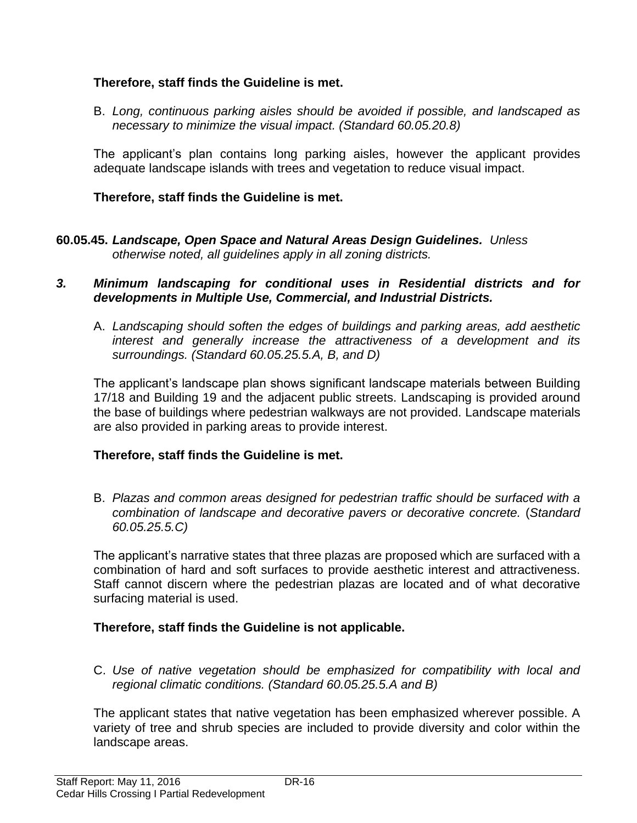#### **Therefore, staff finds the Guideline is met.**

B. *Long, continuous parking aisles should be avoided if possible, and landscaped as necessary to minimize the visual impact. (Standard 60.05.20.8)*

The applicant's plan contains long parking aisles, however the applicant provides adequate landscape islands with trees and vegetation to reduce visual impact.

#### **Therefore, staff finds the Guideline is met.**

**60.05.45.** *Landscape, Open Space and Natural Areas Design Guidelines. Unless otherwise noted, all guidelines apply in all zoning districts.*

#### *3. Minimum landscaping for conditional uses in Residential districts and for developments in Multiple Use, Commercial, and Industrial Districts.*

A. *Landscaping should soften the edges of buildings and parking areas, add aesthetic interest and generally increase the attractiveness of a development and its surroundings. (Standard 60.05.25.5.A, B, and D)*

The applicant's landscape plan shows significant landscape materials between Building 17/18 and Building 19 and the adjacent public streets. Landscaping is provided around the base of buildings where pedestrian walkways are not provided. Landscape materials are also provided in parking areas to provide interest.

#### **Therefore, staff finds the Guideline is met.**

B. *Plazas and common areas designed for pedestrian traffic should be surfaced with a combination of landscape and decorative pavers or decorative concrete.* (*Standard 60.05.25.5.C)*

The applicant's narrative states that three plazas are proposed which are surfaced with a combination of hard and soft surfaces to provide aesthetic interest and attractiveness. Staff cannot discern where the pedestrian plazas are located and of what decorative surfacing material is used.

#### **Therefore, staff finds the Guideline is not applicable.**

C. *Use of native vegetation should be emphasized for compatibility with local and regional climatic conditions. (Standard 60.05.25.5.A and B)*

The applicant states that native vegetation has been emphasized wherever possible. A variety of tree and shrub species are included to provide diversity and color within the landscape areas.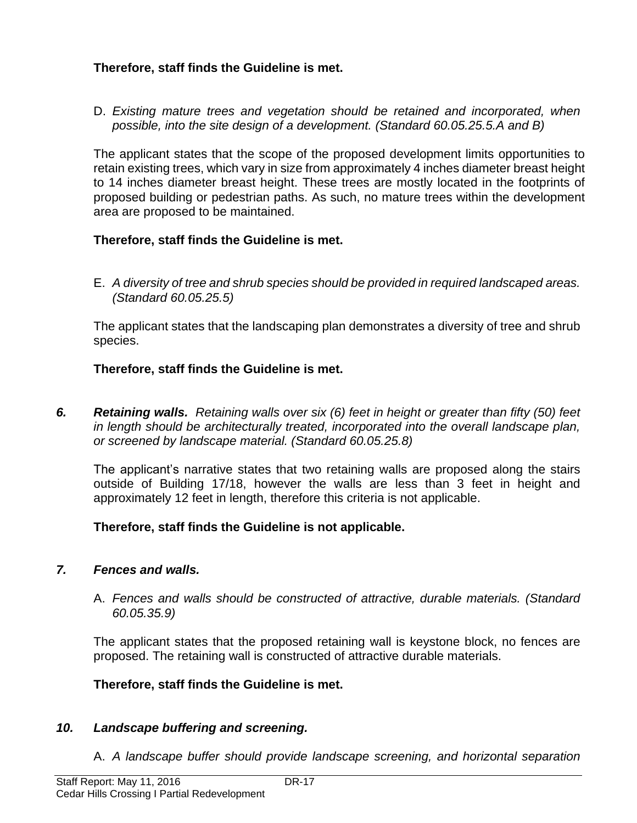#### **Therefore, staff finds the Guideline is met.**

D. *Existing mature trees and vegetation should be retained and incorporated, when possible, into the site design of a development. (Standard 60.05.25.5.A and B)*

The applicant states that the scope of the proposed development limits opportunities to retain existing trees, which vary in size from approximately 4 inches diameter breast height to 14 inches diameter breast height. These trees are mostly located in the footprints of proposed building or pedestrian paths. As such, no mature trees within the development area are proposed to be maintained.

#### **Therefore, staff finds the Guideline is met.**

E. *A diversity of tree and shrub species should be provided in required landscaped areas. (Standard 60.05.25.5)*

The applicant states that the landscaping plan demonstrates a diversity of tree and shrub species.

#### **Therefore, staff finds the Guideline is met.**

*6. Retaining walls. Retaining walls over six (6) feet in height or greater than fifty (50) feet in length should be architecturally treated, incorporated into the overall landscape plan, or screened by landscape material. (Standard 60.05.25.8)* 

The applicant's narrative states that two retaining walls are proposed along the stairs outside of Building 17/18, however the walls are less than 3 feet in height and approximately 12 feet in length, therefore this criteria is not applicable.

#### **Therefore, staff finds the Guideline is not applicable.**

#### *7. Fences and walls.*

A. *Fences and walls should be constructed of attractive, durable materials. (Standard 60.05.35.9)*

The applicant states that the proposed retaining wall is keystone block, no fences are proposed. The retaining wall is constructed of attractive durable materials.

#### **Therefore, staff finds the Guideline is met.**

#### *10. Landscape buffering and screening.*

A. *A landscape buffer should provide landscape screening, and horizontal separation*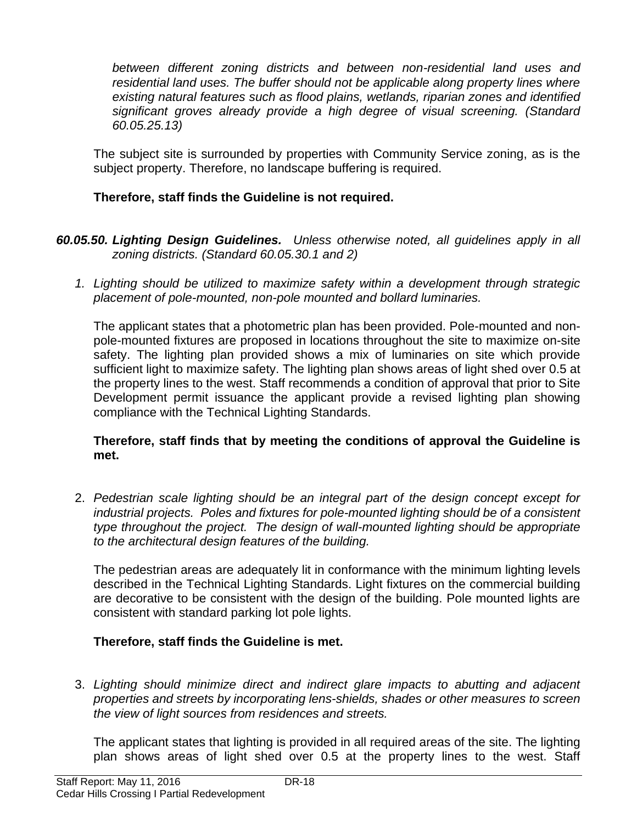*between different zoning districts and between non-residential land uses and residential land uses. The buffer should not be applicable along property lines where existing natural features such as flood plains, wetlands, riparian zones and identified significant groves already provide a high degree of visual screening. (Standard 60.05.25.13)*

The subject site is surrounded by properties with Community Service zoning, as is the subject property. Therefore, no landscape buffering is required.

#### **Therefore, staff finds the Guideline is not required.**

- *60.05.50. Lighting Design Guidelines. Unless otherwise noted, all guidelines apply in all zoning districts. (Standard 60.05.30.1 and 2)*
	- *1. Lighting should be utilized to maximize safety within a development through strategic placement of pole-mounted, non-pole mounted and bollard luminaries.*

The applicant states that a photometric plan has been provided. Pole-mounted and nonpole-mounted fixtures are proposed in locations throughout the site to maximize on-site safety. The lighting plan provided shows a mix of luminaries on site which provide sufficient light to maximize safety. The lighting plan shows areas of light shed over 0.5 at the property lines to the west. Staff recommends a condition of approval that prior to Site Development permit issuance the applicant provide a revised lighting plan showing compliance with the Technical Lighting Standards.

#### **Therefore, staff finds that by meeting the conditions of approval the Guideline is met.**

2. *Pedestrian scale lighting should be an integral part of the design concept except for industrial projects. Poles and fixtures for pole-mounted lighting should be of a consistent type throughout the project. The design of wall-mounted lighting should be appropriate to the architectural design features of the building.*

The pedestrian areas are adequately lit in conformance with the minimum lighting levels described in the Technical Lighting Standards. Light fixtures on the commercial building are decorative to be consistent with the design of the building. Pole mounted lights are consistent with standard parking lot pole lights.

## **Therefore, staff finds the Guideline is met.**

3. *Lighting should minimize direct and indirect glare impacts to abutting and adjacent properties and streets by incorporating lens-shields, shades or other measures to screen the view of light sources from residences and streets.*

The applicant states that lighting is provided in all required areas of the site. The lighting plan shows areas of light shed over 0.5 at the property lines to the west. Staff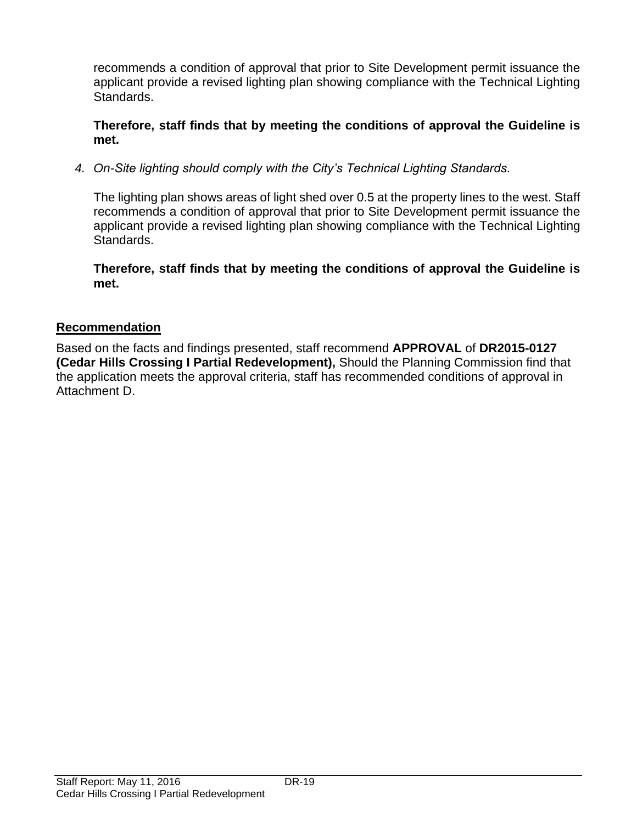recommends a condition of approval that prior to Site Development permit issuance the applicant provide a revised lighting plan showing compliance with the Technical Lighting Standards.

**Therefore, staff finds that by meeting the conditions of approval the Guideline is met.**

*4. On-Site lighting should comply with the City's Technical Lighting Standards.* 

The lighting plan shows areas of light shed over 0.5 at the property lines to the west. Staff recommends a condition of approval that prior to Site Development permit issuance the applicant provide a revised lighting plan showing compliance with the Technical Lighting Standards.

**Therefore, staff finds that by meeting the conditions of approval the Guideline is met.**

#### **Recommendation**

Based on the facts and findings presented, staff recommend **APPROVAL** of **DR2015-0127 (Cedar Hills Crossing I Partial Redevelopment),** Should the Planning Commission find that the application meets the approval criteria, staff has recommended conditions of approval in Attachment D.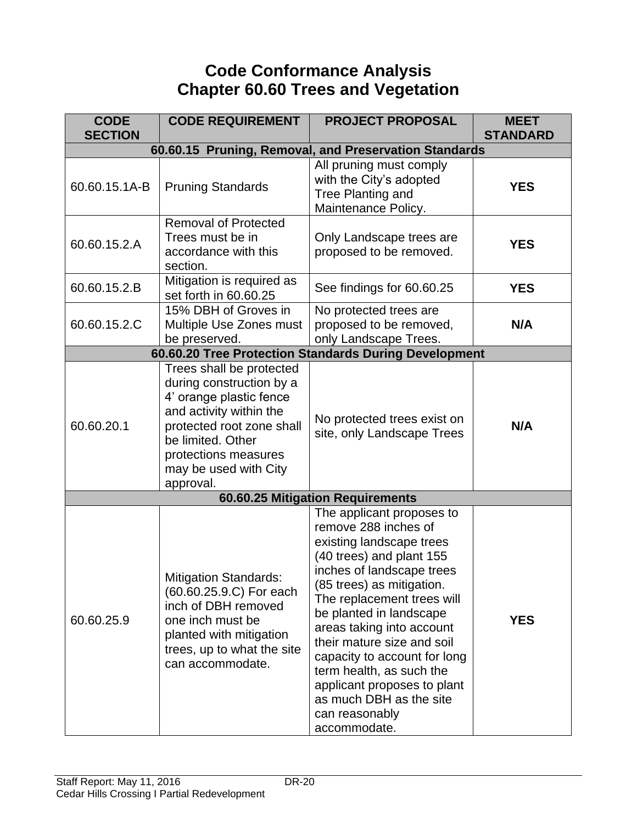# **Code Conformance Analysis Chapter 60.60 Trees and Vegetation**

| <b>CODE</b>    | <b>CODE REQUIREMENT</b>                                                                                                                                                                                                    | <b>PROJECT PROPOSAL</b>                                                                                                                                                                                                                                                                                                                                                                                                                         | <b>MEET</b>     |  |
|----------------|----------------------------------------------------------------------------------------------------------------------------------------------------------------------------------------------------------------------------|-------------------------------------------------------------------------------------------------------------------------------------------------------------------------------------------------------------------------------------------------------------------------------------------------------------------------------------------------------------------------------------------------------------------------------------------------|-----------------|--|
| <b>SECTION</b> |                                                                                                                                                                                                                            |                                                                                                                                                                                                                                                                                                                                                                                                                                                 | <b>STANDARD</b> |  |
|                | 60.60.15 Pruning, Removal, and Preservation Standards                                                                                                                                                                      |                                                                                                                                                                                                                                                                                                                                                                                                                                                 |                 |  |
| 60.60.15.1A-B  | <b>Pruning Standards</b>                                                                                                                                                                                                   | All pruning must comply<br>with the City's adopted<br>Tree Planting and<br>Maintenance Policy.                                                                                                                                                                                                                                                                                                                                                  | <b>YES</b>      |  |
| 60.60.15.2.A   | <b>Removal of Protected</b><br>Trees must be in<br>accordance with this<br>section.                                                                                                                                        | Only Landscape trees are<br>proposed to be removed.                                                                                                                                                                                                                                                                                                                                                                                             | <b>YES</b>      |  |
| 60.60.15.2.B   | Mitigation is required as<br>set forth in 60.60.25                                                                                                                                                                         | See findings for 60.60.25                                                                                                                                                                                                                                                                                                                                                                                                                       | <b>YES</b>      |  |
| 60.60.15.2.C   | 15% DBH of Groves in<br>Multiple Use Zones must<br>be preserved.                                                                                                                                                           | No protected trees are<br>proposed to be removed,<br>only Landscape Trees.                                                                                                                                                                                                                                                                                                                                                                      | N/A             |  |
|                |                                                                                                                                                                                                                            | 60.60.20 Tree Protection Standards During Development                                                                                                                                                                                                                                                                                                                                                                                           |                 |  |
| 60.60.20.1     | Trees shall be protected<br>during construction by a<br>4' orange plastic fence<br>and activity within the<br>protected root zone shall<br>be limited. Other<br>protections measures<br>may be used with City<br>approval. | No protected trees exist on<br>site, only Landscape Trees                                                                                                                                                                                                                                                                                                                                                                                       | N/A             |  |
|                |                                                                                                                                                                                                                            | 60.60.25 Mitigation Requirements                                                                                                                                                                                                                                                                                                                                                                                                                |                 |  |
| 60.60.25.9     | <b>Mitigation Standards:</b><br>(60.60.25.9.C) For each<br>inch of DBH removed<br>one inch must be<br>planted with mitigation<br>trees, up to what the site<br>can accommodate.                                            | The applicant proposes to<br>remove 288 inches of<br>existing landscape trees<br>(40 trees) and plant 155<br>inches of landscape trees<br>(85 trees) as mitigation.<br>The replacement trees will<br>be planted in landscape<br>areas taking into account<br>their mature size and soil<br>capacity to account for long<br>term health, as such the<br>applicant proposes to plant<br>as much DBH as the site<br>can reasonably<br>accommodate. | <b>YES</b>      |  |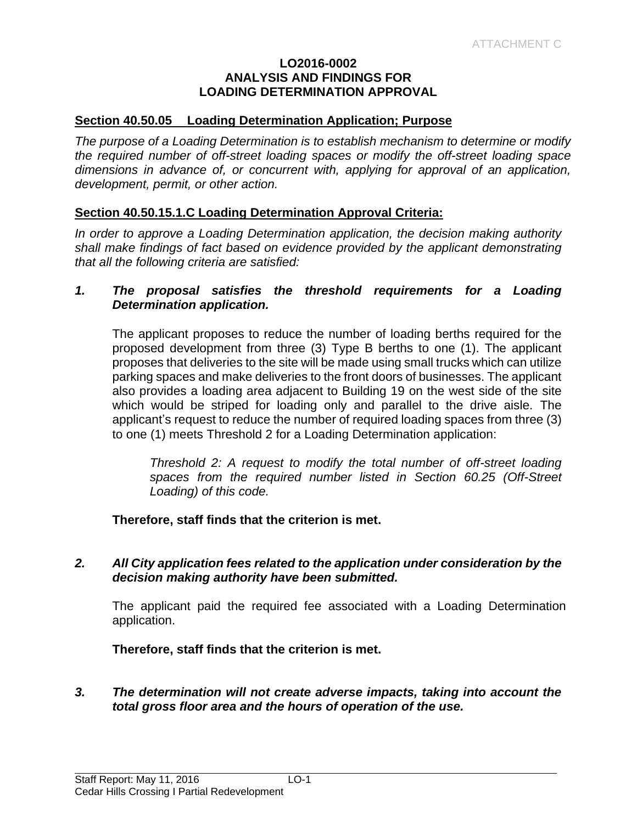#### **LO2016-0002 ANALYSIS AND FINDINGS FOR LOADING DETERMINATION APPROVAL**

#### **Section 40.50.05 Loading Determination Application; Purpose**

*The purpose of a Loading Determination is to establish mechanism to determine or modify the required number of off-street loading spaces or modify the off-street loading space dimensions in advance of, or concurrent with, applying for approval of an application, development, permit, or other action.* 

#### **Section 40.50.15.1.C Loading Determination Approval Criteria:**

*In order to approve a Loading Determination application, the decision making authority shall make findings of fact based on evidence provided by the applicant demonstrating that all the following criteria are satisfied:*

#### *1. The proposal satisfies the threshold requirements for a Loading Determination application.*

The applicant proposes to reduce the number of loading berths required for the proposed development from three (3) Type B berths to one (1). The applicant proposes that deliveries to the site will be made using small trucks which can utilize parking spaces and make deliveries to the front doors of businesses. The applicant also provides a loading area adjacent to Building 19 on the west side of the site which would be striped for loading only and parallel to the drive aisle. The applicant's request to reduce the number of required loading spaces from three (3) to one (1) meets Threshold 2 for a Loading Determination application:

*Threshold 2: A request to modify the total number of off-street loading spaces from the required number listed in Section 60.25 (Off-Street Loading) of this code.*

**Therefore, staff finds that the criterion is met.**

*2. All City application fees related to the application under consideration by the decision making authority have been submitted.*

The applicant paid the required fee associated with a Loading Determination application.

**Therefore, staff finds that the criterion is met.**

*3. The determination will not create adverse impacts, taking into account the total gross floor area and the hours of operation of the use.*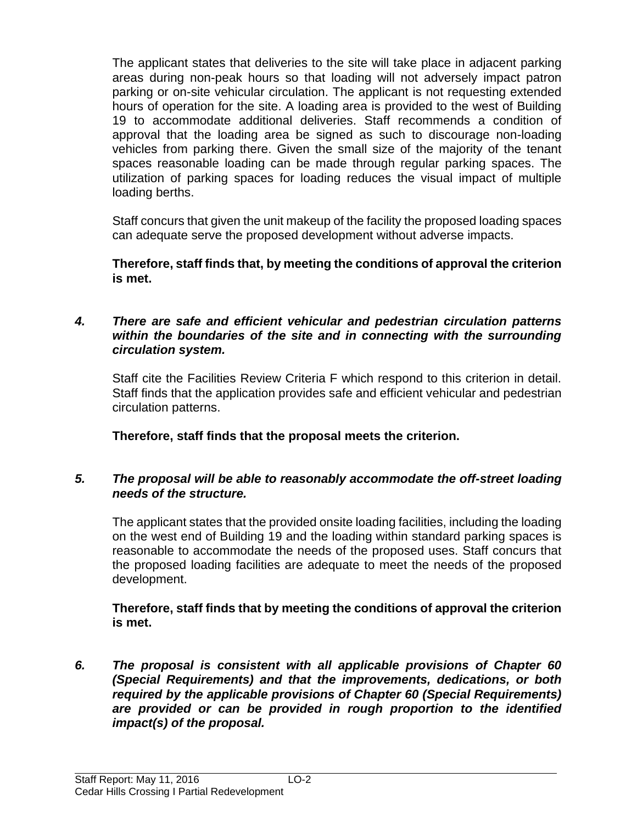The applicant states that deliveries to the site will take place in adjacent parking areas during non-peak hours so that loading will not adversely impact patron parking or on-site vehicular circulation. The applicant is not requesting extended hours of operation for the site. A loading area is provided to the west of Building 19 to accommodate additional deliveries. Staff recommends a condition of approval that the loading area be signed as such to discourage non-loading vehicles from parking there. Given the small size of the majority of the tenant spaces reasonable loading can be made through regular parking spaces. The utilization of parking spaces for loading reduces the visual impact of multiple loading berths.

Staff concurs that given the unit makeup of the facility the proposed loading spaces can adequate serve the proposed development without adverse impacts.

**Therefore, staff finds that, by meeting the conditions of approval the criterion is met.**

#### *4. There are safe and efficient vehicular and pedestrian circulation patterns within the boundaries of the site and in connecting with the surrounding circulation system.*

Staff cite the Facilities Review Criteria F which respond to this criterion in detail. Staff finds that the application provides safe and efficient vehicular and pedestrian circulation patterns.

**Therefore, staff finds that the proposal meets the criterion.**

#### *5. The proposal will be able to reasonably accommodate the off-street loading needs of the structure.*

The applicant states that the provided onsite loading facilities, including the loading on the west end of Building 19 and the loading within standard parking spaces is reasonable to accommodate the needs of the proposed uses. Staff concurs that the proposed loading facilities are adequate to meet the needs of the proposed development.

#### **Therefore, staff finds that by meeting the conditions of approval the criterion is met.**

*6. The proposal is consistent with all applicable provisions of Chapter 60 (Special Requirements) and that the improvements, dedications, or both required by the applicable provisions of Chapter 60 (Special Requirements) are provided or can be provided in rough proportion to the identified impact(s) of the proposal.*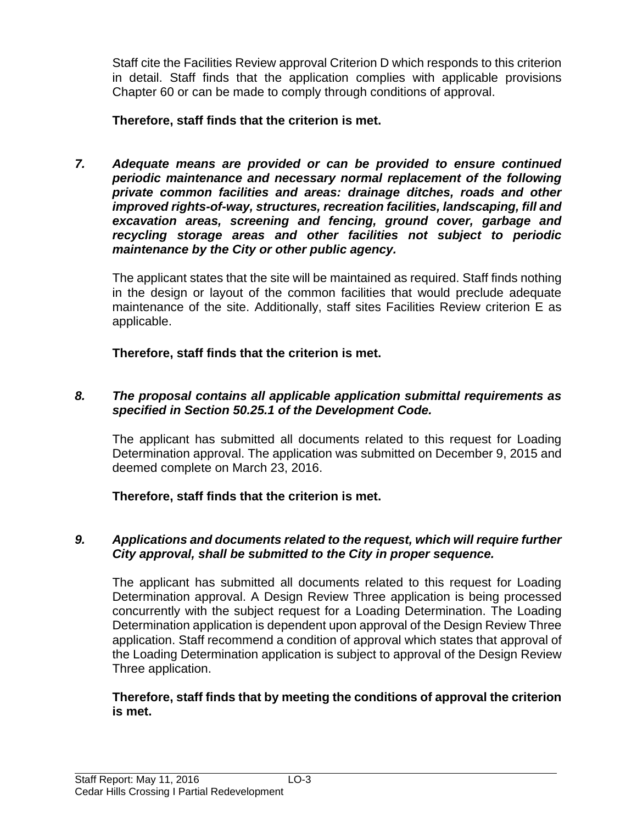Staff cite the Facilities Review approval Criterion D which responds to this criterion in detail. Staff finds that the application complies with applicable provisions Chapter 60 or can be made to comply through conditions of approval.

## **Therefore, staff finds that the criterion is met.**

*7. Adequate means are provided or can be provided to ensure continued periodic maintenance and necessary normal replacement of the following private common facilities and areas: drainage ditches, roads and other improved rights-of-way, structures, recreation facilities, landscaping, fill and excavation areas, screening and fencing, ground cover, garbage and recycling storage areas and other facilities not subject to periodic maintenance by the City or other public agency.*

The applicant states that the site will be maintained as required. Staff finds nothing in the design or layout of the common facilities that would preclude adequate maintenance of the site. Additionally, staff sites Facilities Review criterion E as applicable.

**Therefore, staff finds that the criterion is met.**

#### *8. The proposal contains all applicable application submittal requirements as specified in Section 50.25.1 of the Development Code.*

The applicant has submitted all documents related to this request for Loading Determination approval. The application was submitted on December 9, 2015 and deemed complete on March 23, 2016.

## **Therefore, staff finds that the criterion is met.**

#### *9. Applications and documents related to the request, which will require further City approval, shall be submitted to the City in proper sequence.*

The applicant has submitted all documents related to this request for Loading Determination approval. A Design Review Three application is being processed concurrently with the subject request for a Loading Determination. The Loading Determination application is dependent upon approval of the Design Review Three application. Staff recommend a condition of approval which states that approval of the Loading Determination application is subject to approval of the Design Review Three application.

#### **Therefore, staff finds that by meeting the conditions of approval the criterion is met.**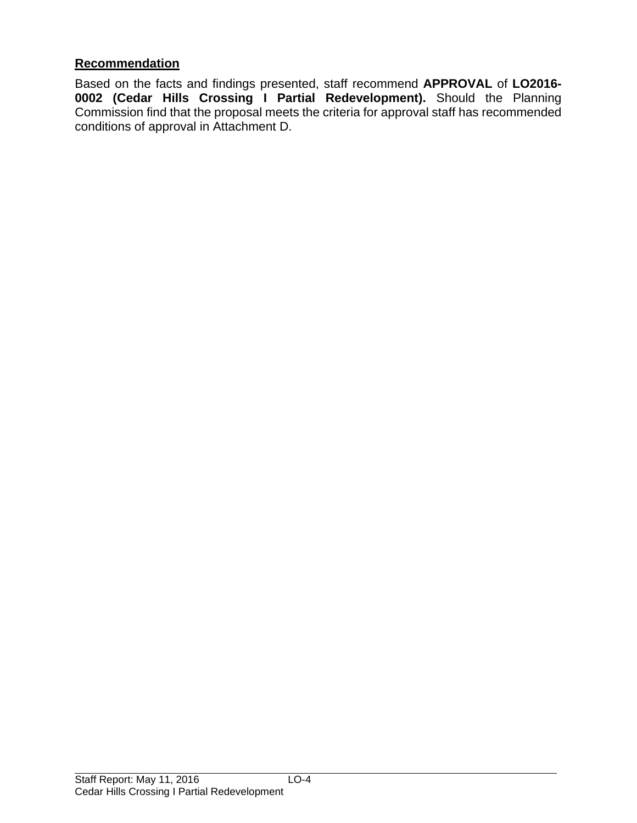#### **Recommendation**

Based on the facts and findings presented, staff recommend **APPROVAL** of **LO2016- 0002 (Cedar Hills Crossing I Partial Redevelopment).** Should the Planning Commission find that the proposal meets the criteria for approval staff has recommended conditions of approval in Attachment D.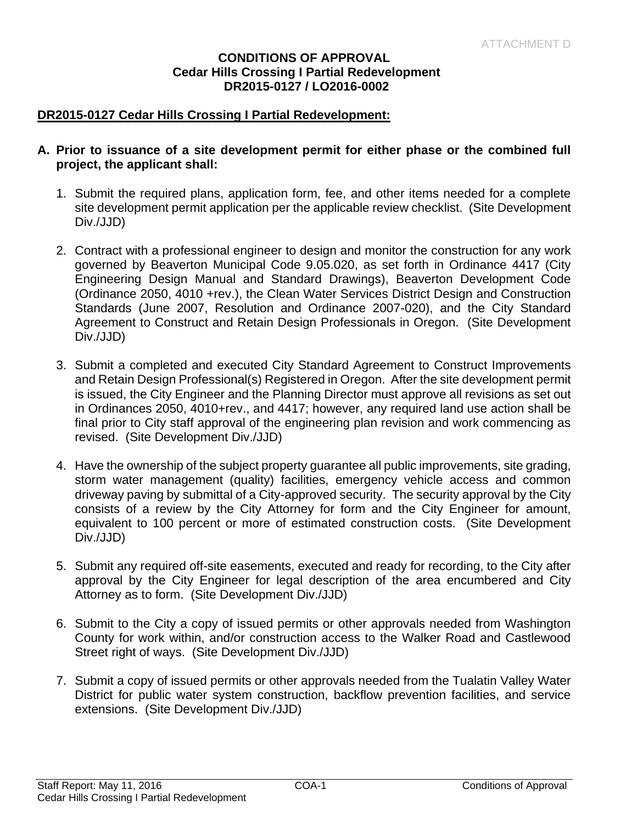#### **CONDITIONS OF APPROVAL Cedar Hills Crossing I Partial Redevelopment DR2015-0127 / LO2016-0002**

#### **DR2015-0127 Cedar Hills Crossing I Partial Redevelopment:**

#### **A. Prior to issuance of a site development permit for either phase or the combined full project, the applicant shall:**

- 1. Submit the required plans, application form, fee, and other items needed for a complete site development permit application per the applicable review checklist. (Site Development Div./JJD)
- 2. Contract with a professional engineer to design and monitor the construction for any work governed by Beaverton Municipal Code 9.05.020, as set forth in Ordinance 4417 (City Engineering Design Manual and Standard Drawings), Beaverton Development Code (Ordinance 2050, 4010 +rev.), the Clean Water Services District Design and Construction Standards (June 2007, Resolution and Ordinance 2007-020), and the City Standard Agreement to Construct and Retain Design Professionals in Oregon. (Site Development Div./JJD)
- 3. Submit a completed and executed City Standard Agreement to Construct Improvements and Retain Design Professional(s) Registered in Oregon. After the site development permit is issued, the City Engineer and the Planning Director must approve all revisions as set out in Ordinances 2050, 4010+rev., and 4417; however, any required land use action shall be final prior to City staff approval of the engineering plan revision and work commencing as revised. (Site Development Div./JJD)
- 4. Have the ownership of the subject property guarantee all public improvements, site grading, storm water management (quality) facilities, emergency vehicle access and common driveway paving by submittal of a City-approved security. The security approval by the City consists of a review by the City Attorney for form and the City Engineer for amount, equivalent to 100 percent or more of estimated construction costs. (Site Development Div./JJD)
- 5. Submit any required off-site easements, executed and ready for recording, to the City after approval by the City Engineer for legal description of the area encumbered and City Attorney as to form. (Site Development Div./JJD)
- 6. Submit to the City a copy of issued permits or other approvals needed from Washington County for work within, and/or construction access to the Walker Road and Castlewood Street right of ways. (Site Development Div./JJD)
- 7. Submit a copy of issued permits or other approvals needed from the Tualatin Valley Water District for public water system construction, backflow prevention facilities, and service extensions. (Site Development Div./JJD)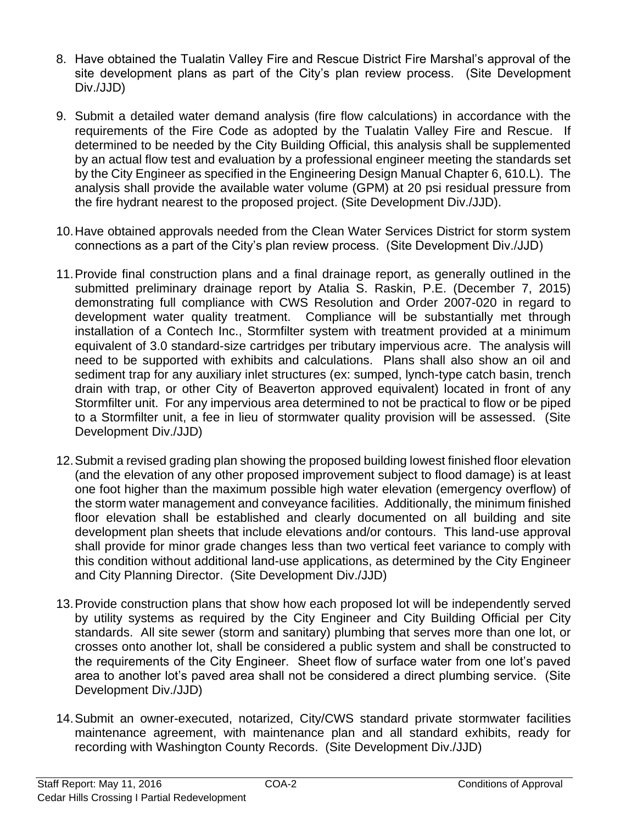- 8. Have obtained the Tualatin Valley Fire and Rescue District Fire Marshal's approval of the site development plans as part of the City's plan review process. (Site Development Div./JJD)
- 9. Submit a detailed water demand analysis (fire flow calculations) in accordance with the requirements of the Fire Code as adopted by the Tualatin Valley Fire and Rescue. If determined to be needed by the City Building Official, this analysis shall be supplemented by an actual flow test and evaluation by a professional engineer meeting the standards set by the City Engineer as specified in the Engineering Design Manual Chapter 6, 610.L). The analysis shall provide the available water volume (GPM) at 20 psi residual pressure from the fire hydrant nearest to the proposed project. (Site Development Div./JJD).
- 10.Have obtained approvals needed from the Clean Water Services District for storm system connections as a part of the City's plan review process. (Site Development Div./JJD)
- 11.Provide final construction plans and a final drainage report, as generally outlined in the submitted preliminary drainage report by Atalia S. Raskin, P.E. (December 7, 2015) demonstrating full compliance with CWS Resolution and Order 2007-020 in regard to development water quality treatment. Compliance will be substantially met through installation of a Contech Inc., Stormfilter system with treatment provided at a minimum equivalent of 3.0 standard-size cartridges per tributary impervious acre. The analysis will need to be supported with exhibits and calculations. Plans shall also show an oil and sediment trap for any auxiliary inlet structures (ex: sumped, lynch-type catch basin, trench drain with trap, or other City of Beaverton approved equivalent) located in front of any Stormfilter unit. For any impervious area determined to not be practical to flow or be piped to a Stormfilter unit, a fee in lieu of stormwater quality provision will be assessed. (Site Development Div./JJD)
- 12.Submit a revised grading plan showing the proposed building lowest finished floor elevation (and the elevation of any other proposed improvement subject to flood damage) is at least one foot higher than the maximum possible high water elevation (emergency overflow) of the storm water management and conveyance facilities. Additionally, the minimum finished floor elevation shall be established and clearly documented on all building and site development plan sheets that include elevations and/or contours. This land-use approval shall provide for minor grade changes less than two vertical feet variance to comply with this condition without additional land-use applications, as determined by the City Engineer and City Planning Director. (Site Development Div./JJD)
- 13.Provide construction plans that show how each proposed lot will be independently served by utility systems as required by the City Engineer and City Building Official per City standards. All site sewer (storm and sanitary) plumbing that serves more than one lot, or crosses onto another lot, shall be considered a public system and shall be constructed to the requirements of the City Engineer. Sheet flow of surface water from one lot's paved area to another lot's paved area shall not be considered a direct plumbing service. (Site Development Div./JJD)
- 14.Submit an owner-executed, notarized, City/CWS standard private stormwater facilities maintenance agreement, with maintenance plan and all standard exhibits, ready for recording with Washington County Records. (Site Development Div./JJD)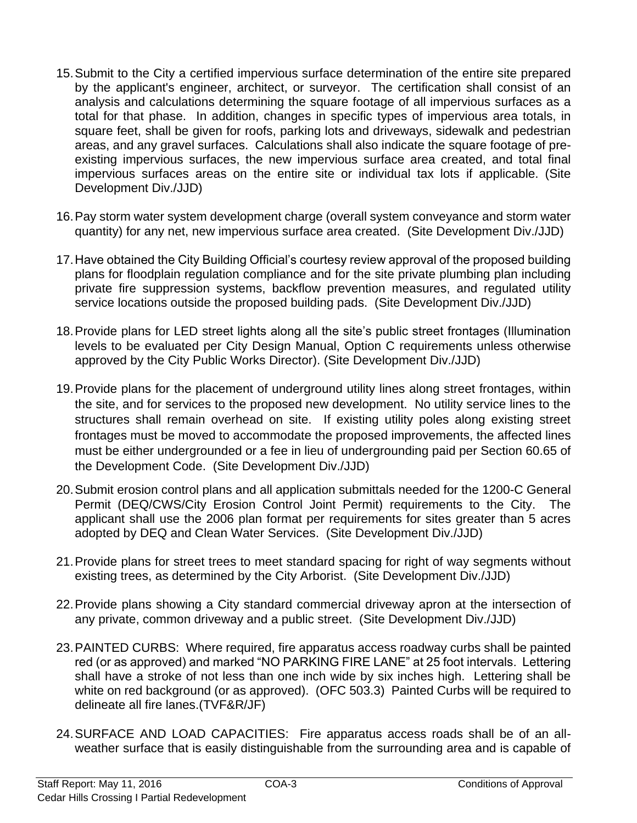- 15.Submit to the City a certified impervious surface determination of the entire site prepared by the applicant's engineer, architect, or surveyor. The certification shall consist of an analysis and calculations determining the square footage of all impervious surfaces as a total for that phase. In addition, changes in specific types of impervious area totals, in square feet, shall be given for roofs, parking lots and driveways, sidewalk and pedestrian areas, and any gravel surfaces. Calculations shall also indicate the square footage of preexisting impervious surfaces, the new impervious surface area created, and total final impervious surfaces areas on the entire site or individual tax lots if applicable. (Site Development Div./JJD)
- 16.Pay storm water system development charge (overall system conveyance and storm water quantity) for any net, new impervious surface area created. (Site Development Div./JJD)
- 17.Have obtained the City Building Official's courtesy review approval of the proposed building plans for floodplain regulation compliance and for the site private plumbing plan including private fire suppression systems, backflow prevention measures, and regulated utility service locations outside the proposed building pads. (Site Development Div./JJD)
- 18.Provide plans for LED street lights along all the site's public street frontages (Illumination levels to be evaluated per City Design Manual, Option C requirements unless otherwise approved by the City Public Works Director). (Site Development Div./JJD)
- 19.Provide plans for the placement of underground utility lines along street frontages, within the site, and for services to the proposed new development. No utility service lines to the structures shall remain overhead on site. If existing utility poles along existing street frontages must be moved to accommodate the proposed improvements, the affected lines must be either undergrounded or a fee in lieu of undergrounding paid per Section 60.65 of the Development Code. (Site Development Div./JJD)
- 20.Submit erosion control plans and all application submittals needed for the 1200-C General Permit (DEQ/CWS/City Erosion Control Joint Permit) requirements to the City. The applicant shall use the 2006 plan format per requirements for sites greater than 5 acres adopted by DEQ and Clean Water Services. (Site Development Div./JJD)
- 21.Provide plans for street trees to meet standard spacing for right of way segments without existing trees, as determined by the City Arborist. (Site Development Div./JJD)
- 22.Provide plans showing a City standard commercial driveway apron at the intersection of any private, common driveway and a public street. (Site Development Div./JJD)
- 23.PAINTED CURBS: Where required, fire apparatus access roadway curbs shall be painted red (or as approved) and marked "NO PARKING FIRE LANE" at 25 foot intervals. Lettering shall have a stroke of not less than one inch wide by six inches high. Lettering shall be white on red background (or as approved). (OFC 503.3) Painted Curbs will be required to delineate all fire lanes.(TVF&R/JF)
- 24.SURFACE AND LOAD CAPACITIES: Fire apparatus access roads shall be of an allweather surface that is easily distinguishable from the surrounding area and is capable of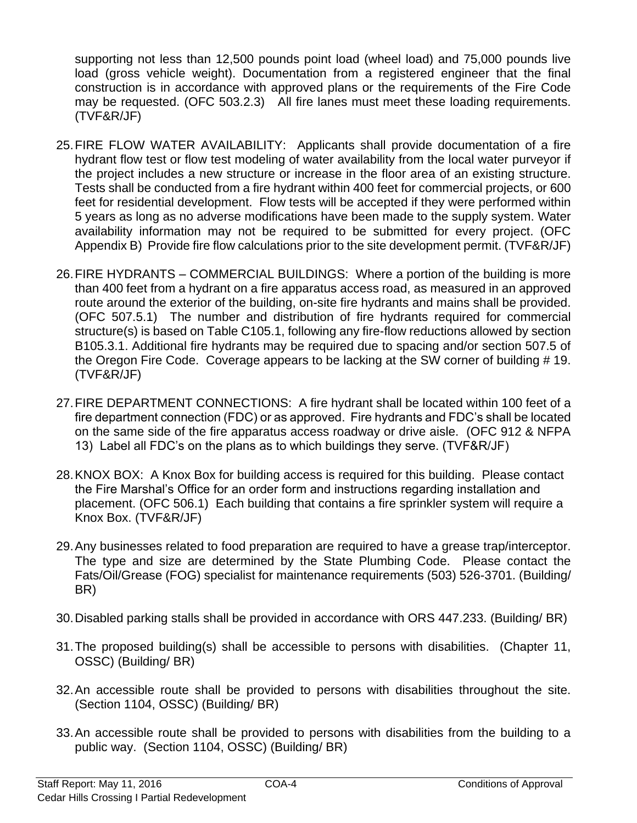supporting not less than 12,500 pounds point load (wheel load) and 75,000 pounds live load (gross vehicle weight). Documentation from a registered engineer that the final construction is in accordance with approved plans or the requirements of the Fire Code may be requested. (OFC 503.2.3) All fire lanes must meet these loading requirements. (TVF&R/JF)

- 25.FIRE FLOW WATER AVAILABILITY: Applicants shall provide documentation of a fire hydrant flow test or flow test modeling of water availability from the local water purveyor if the project includes a new structure or increase in the floor area of an existing structure. Tests shall be conducted from a fire hydrant within 400 feet for commercial projects, or 600 feet for residential development. Flow tests will be accepted if they were performed within 5 years as long as no adverse modifications have been made to the supply system. Water availability information may not be required to be submitted for every project. (OFC Appendix B) Provide fire flow calculations prior to the site development permit. (TVF&R/JF)
- 26.FIRE HYDRANTS COMMERCIAL BUILDINGS: Where a portion of the building is more than 400 feet from a hydrant on a fire apparatus access road, as measured in an approved route around the exterior of the building, on-site fire hydrants and mains shall be provided. (OFC 507.5.1) The number and distribution of fire hydrants required for commercial structure(s) is based on Table C105.1, following any fire-flow reductions allowed by section B105.3.1. Additional fire hydrants may be required due to spacing and/or section 507.5 of the Oregon Fire Code. Coverage appears to be lacking at the SW corner of building # 19. (TVF&R/JF)
- 27.FIRE DEPARTMENT CONNECTIONS: A fire hydrant shall be located within 100 feet of a fire department connection (FDC) or as approved. Fire hydrants and FDC's shall be located on the same side of the fire apparatus access roadway or drive aisle. (OFC 912 & NFPA 13) Label all FDC's on the plans as to which buildings they serve. (TVF&R/JF)
- 28.KNOX BOX: A Knox Box for building access is required for this building. Please contact the Fire Marshal's Office for an order form and instructions regarding installation and placement. (OFC 506.1) Each building that contains a fire sprinkler system will require a Knox Box. (TVF&R/JF)
- 29.Any businesses related to food preparation are required to have a grease trap/interceptor. The type and size are determined by the State Plumbing Code. Please contact the Fats/Oil/Grease (FOG) specialist for maintenance requirements (503) 526-3701. (Building/ BR)
- 30.Disabled parking stalls shall be provided in accordance with ORS 447.233. (Building/ BR)
- 31.The proposed building(s) shall be accessible to persons with disabilities. (Chapter 11, OSSC) (Building/ BR)
- 32.An accessible route shall be provided to persons with disabilities throughout the site. (Section 1104, OSSC) (Building/ BR)
- 33.An accessible route shall be provided to persons with disabilities from the building to a public way. (Section 1104, OSSC) (Building/ BR)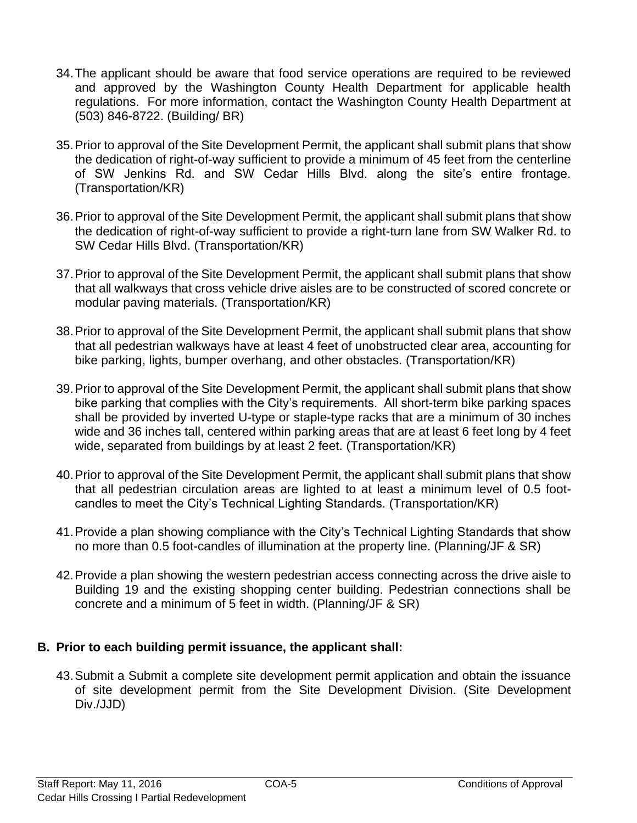- 34.The applicant should be aware that food service operations are required to be reviewed and approved by the Washington County Health Department for applicable health regulations. For more information, contact the Washington County Health Department at (503) 846-8722. (Building/ BR)
- 35.Prior to approval of the Site Development Permit, the applicant shall submit plans that show the dedication of right-of-way sufficient to provide a minimum of 45 feet from the centerline of SW Jenkins Rd. and SW Cedar Hills Blvd. along the site's entire frontage. (Transportation/KR)
- 36.Prior to approval of the Site Development Permit, the applicant shall submit plans that show the dedication of right-of-way sufficient to provide a right-turn lane from SW Walker Rd. to SW Cedar Hills Blvd. (Transportation/KR)
- 37.Prior to approval of the Site Development Permit, the applicant shall submit plans that show that all walkways that cross vehicle drive aisles are to be constructed of scored concrete or modular paving materials. (Transportation/KR)
- 38.Prior to approval of the Site Development Permit, the applicant shall submit plans that show that all pedestrian walkways have at least 4 feet of unobstructed clear area, accounting for bike parking, lights, bumper overhang, and other obstacles. (Transportation/KR)
- 39.Prior to approval of the Site Development Permit, the applicant shall submit plans that show bike parking that complies with the City's requirements. All short-term bike parking spaces shall be provided by inverted U-type or staple-type racks that are a minimum of 30 inches wide and 36 inches tall, centered within parking areas that are at least 6 feet long by 4 feet wide, separated from buildings by at least 2 feet. (Transportation/KR)
- 40.Prior to approval of the Site Development Permit, the applicant shall submit plans that show that all pedestrian circulation areas are lighted to at least a minimum level of 0.5 footcandles to meet the City's Technical Lighting Standards. (Transportation/KR)
- 41.Provide a plan showing compliance with the City's Technical Lighting Standards that show no more than 0.5 foot-candles of illumination at the property line. (Planning/JF & SR)
- 42.Provide a plan showing the western pedestrian access connecting across the drive aisle to Building 19 and the existing shopping center building. Pedestrian connections shall be concrete and a minimum of 5 feet in width. (Planning/JF & SR)

## **B. Prior to each building permit issuance, the applicant shall:**

43.Submit a Submit a complete site development permit application and obtain the issuance of site development permit from the Site Development Division. (Site Development Div./JJD)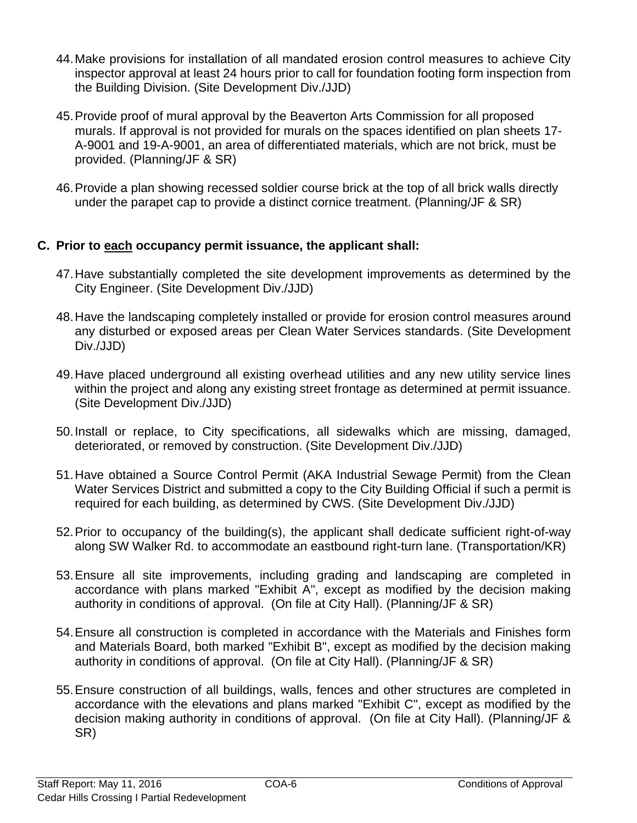- 44.Make provisions for installation of all mandated erosion control measures to achieve City inspector approval at least 24 hours prior to call for foundation footing form inspection from the Building Division. (Site Development Div./JJD)
- 45.Provide proof of mural approval by the Beaverton Arts Commission for all proposed murals. If approval is not provided for murals on the spaces identified on plan sheets 17- A-9001 and 19-A-9001, an area of differentiated materials, which are not brick, must be provided. (Planning/JF & SR)
- 46.Provide a plan showing recessed soldier course brick at the top of all brick walls directly under the parapet cap to provide a distinct cornice treatment. (Planning/JF & SR)

#### **C. Prior to each occupancy permit issuance, the applicant shall:**

- 47.Have substantially completed the site development improvements as determined by the City Engineer. (Site Development Div./JJD)
- 48.Have the landscaping completely installed or provide for erosion control measures around any disturbed or exposed areas per Clean Water Services standards. (Site Development Div./JJD)
- 49.Have placed underground all existing overhead utilities and any new utility service lines within the project and along any existing street frontage as determined at permit issuance. (Site Development Div./JJD)
- 50.Install or replace, to City specifications, all sidewalks which are missing, damaged, deteriorated, or removed by construction. (Site Development Div./JJD)
- 51.Have obtained a Source Control Permit (AKA Industrial Sewage Permit) from the Clean Water Services District and submitted a copy to the City Building Official if such a permit is required for each building, as determined by CWS. (Site Development Div./JJD)
- 52.Prior to occupancy of the building(s), the applicant shall dedicate sufficient right-of-way along SW Walker Rd. to accommodate an eastbound right-turn lane. (Transportation/KR)
- 53.Ensure all site improvements, including grading and landscaping are completed in accordance with plans marked "Exhibit A", except as modified by the decision making authority in conditions of approval. (On file at City Hall). (Planning/JF & SR)
- 54.Ensure all construction is completed in accordance with the Materials and Finishes form and Materials Board, both marked "Exhibit B", except as modified by the decision making authority in conditions of approval. (On file at City Hall). (Planning/JF & SR)
- 55.Ensure construction of all buildings, walls, fences and other structures are completed in accordance with the elevations and plans marked "Exhibit C", except as modified by the decision making authority in conditions of approval. (On file at City Hall). (Planning/JF & SR)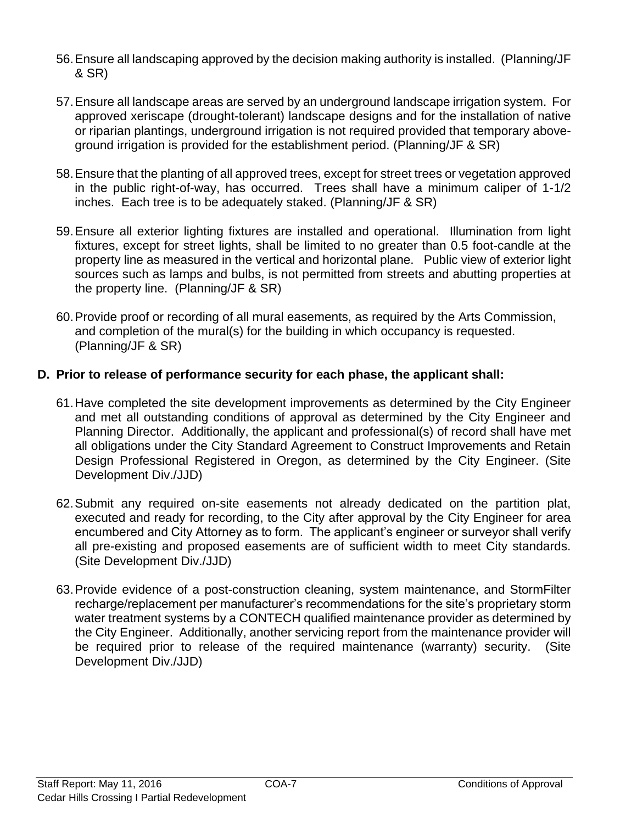- 56.Ensure all landscaping approved by the decision making authority is installed. (Planning/JF & SR)
- 57.Ensure all landscape areas are served by an underground landscape irrigation system. For approved xeriscape (drought-tolerant) landscape designs and for the installation of native or riparian plantings, underground irrigation is not required provided that temporary aboveground irrigation is provided for the establishment period. (Planning/JF & SR)
- 58.Ensure that the planting of all approved trees, except for street trees or vegetation approved in the public right-of-way, has occurred. Trees shall have a minimum caliper of 1-1/2 inches. Each tree is to be adequately staked. (Planning/JF & SR)
- 59.Ensure all exterior lighting fixtures are installed and operational. Illumination from light fixtures, except for street lights, shall be limited to no greater than 0.5 foot-candle at the property line as measured in the vertical and horizontal plane. Public view of exterior light sources such as lamps and bulbs, is not permitted from streets and abutting properties at the property line. (Planning/JF & SR)
- 60.Provide proof or recording of all mural easements, as required by the Arts Commission, and completion of the mural(s) for the building in which occupancy is requested. (Planning/JF & SR)

#### **D. Prior to release of performance security for each phase, the applicant shall:**

- 61.Have completed the site development improvements as determined by the City Engineer and met all outstanding conditions of approval as determined by the City Engineer and Planning Director. Additionally, the applicant and professional(s) of record shall have met all obligations under the City Standard Agreement to Construct Improvements and Retain Design Professional Registered in Oregon, as determined by the City Engineer. (Site Development Div./JJD)
- 62.Submit any required on-site easements not already dedicated on the partition plat, executed and ready for recording, to the City after approval by the City Engineer for area encumbered and City Attorney as to form. The applicant's engineer or surveyor shall verify all pre-existing and proposed easements are of sufficient width to meet City standards. (Site Development Div./JJD)
- 63.Provide evidence of a post-construction cleaning, system maintenance, and StormFilter recharge/replacement per manufacturer's recommendations for the site's proprietary storm water treatment systems by a CONTECH qualified maintenance provider as determined by the City Engineer. Additionally, another servicing report from the maintenance provider will be required prior to release of the required maintenance (warranty) security. (Site Development Div./JJD)